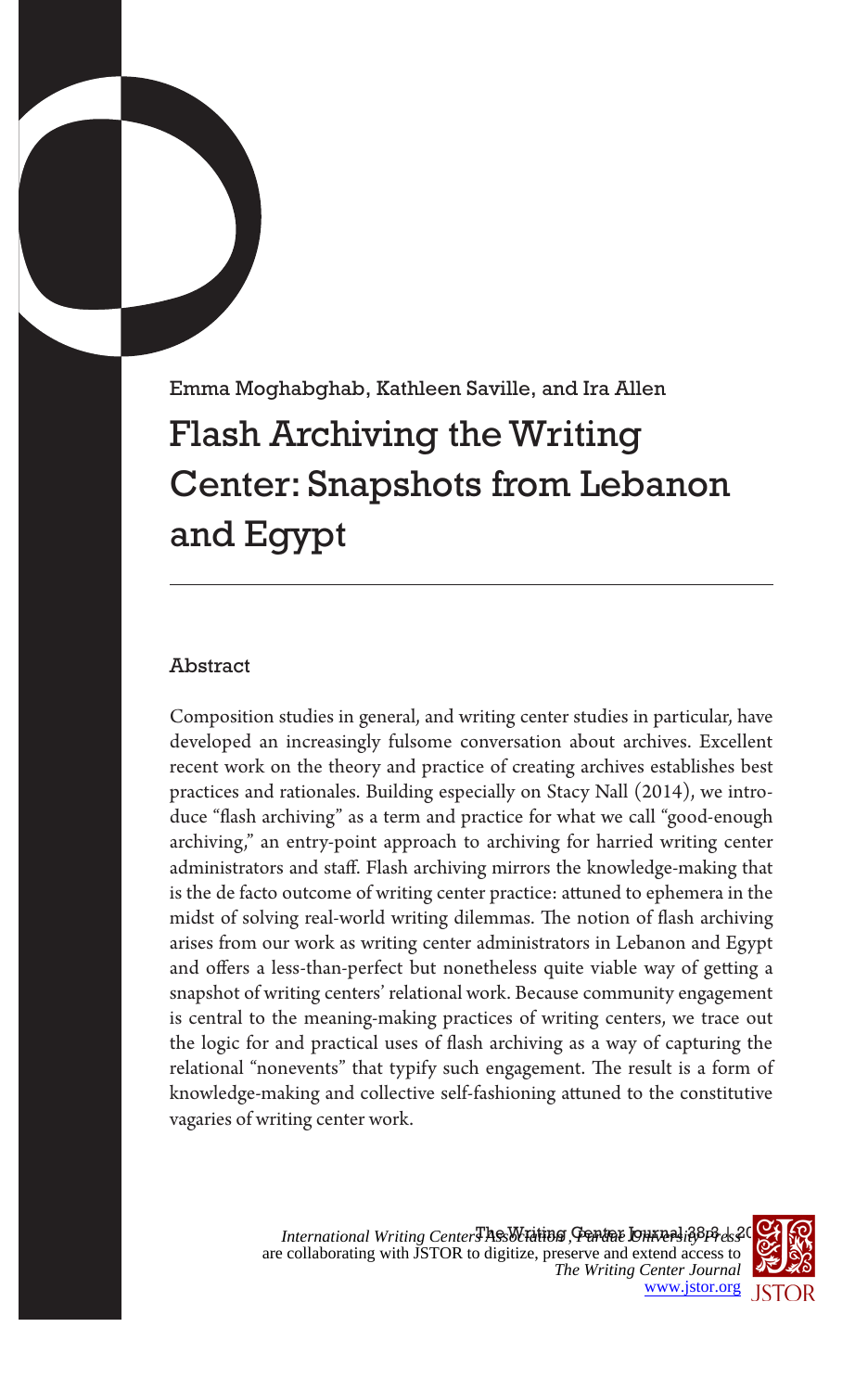# Emma Moghabghab, Kathleen Saville, and Ira Allen Flash Archiving the Writing Center: Snapshots from Lebanon and Egypt

# Abstract

Composition studies in general, and writing center studies in particular, have developed an increasingly fulsome conversation about archives. Excellent recent work on the theory and practice of creating archives establishes best practices and rationales. Building especially on Stacy Nall (2014), we introduce "flash archiving" as a term and practice for what we call "good-enough archiving," an entry-point approach to archiving for harried writing center administrators and staff. Flash archiving mirrors the knowledge-making that is the de facto outcome of writing center practice: attuned to ephemera in the midst of solving real-world writing dilemmas. The notion of flash archiving arises from our work as writing center administrators in Lebanon and Egypt and offers a less-than-perfect but nonetheless quite viable way of getting a snapshot of writing centers' relational work. Because community engagement is central to the meaning-making practices of writing centers, we trace out the logic for and practical uses of flash archiving as a way of capturing the relational "nonevents" that typify such engagement. The result is a form of knowledge-making and collective self-fashioning attuned to the constitutive vagaries of writing center work.

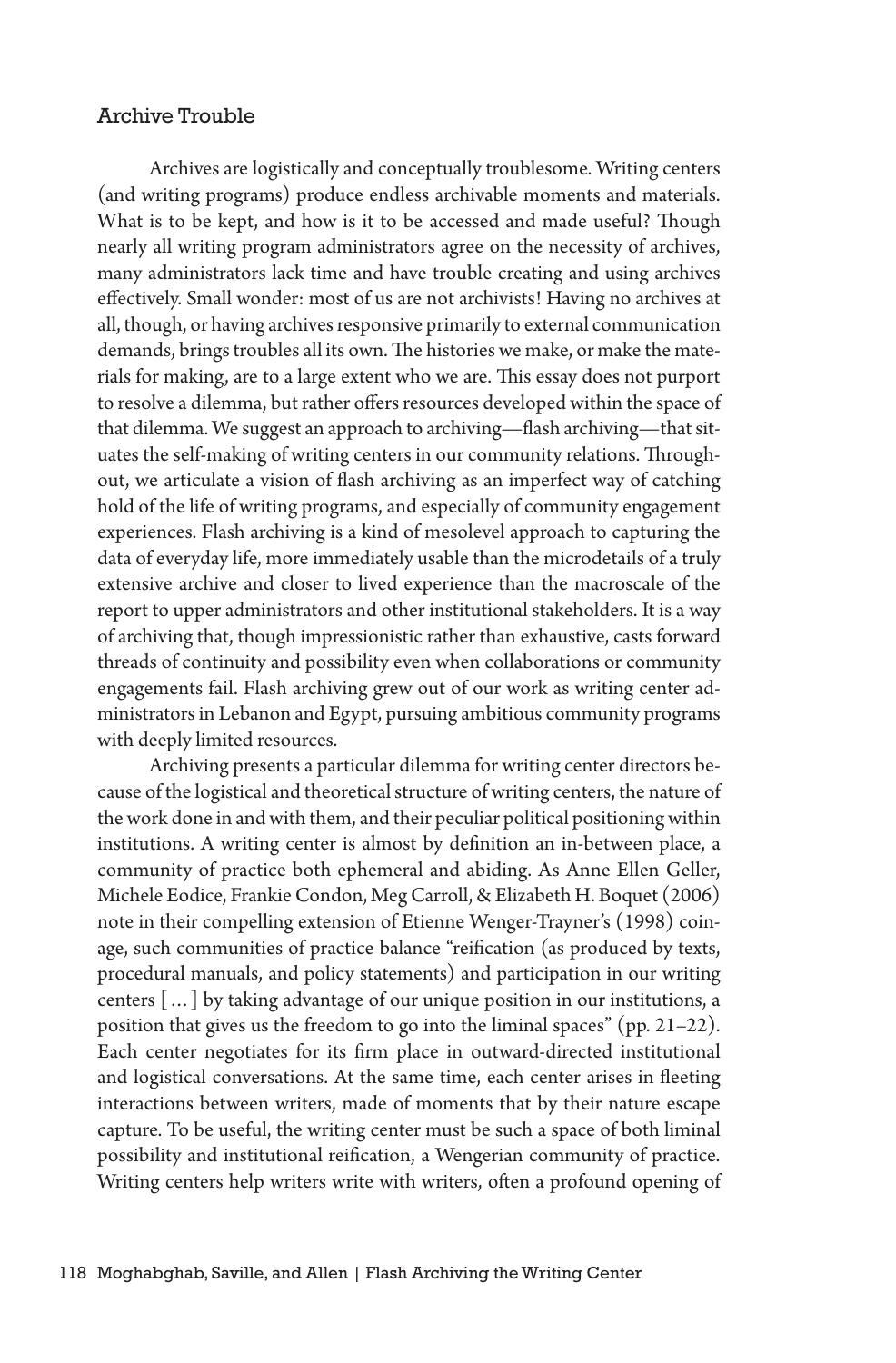#### Archive Trouble

Archives are logistically and conceptually troublesome. Writing centers (and writing programs) produce endless archivable moments and materials. What is to be kept, and how is it to be accessed and made useful? Though nearly all writing program administrators agree on the necessity of archives, many administrators lack time and have trouble creating and using archives effectively. Small wonder: most of us are not archivists! Having no archives at all, though, or having archives responsive primarily to external communication demands, brings troubles all its own. The histories we make, or make the materials for making, are to a large extent who we are. This essay does not purport to resolve a dilemma, but rather offers resources developed within the space of that dilemma. We suggest an approach to archiving—flash archiving—that situates the self-making of writing centers in our community relations. Throughout, we articulate a vision of flash archiving as an imperfect way of catching hold of the life of writing programs, and especially of community engagement experiences. Flash archiving is a kind of mesolevel approach to capturing the data of everyday life, more immediately usable than the microdetails of a truly extensive archive and closer to lived experience than the macroscale of the report to upper administrators and other institutional stakeholders. It is a way of archiving that, though impressionistic rather than exhaustive, casts forward threads of continuity and possibility even when collaborations or community engagements fail. Flash archiving grew out of our work as writing center administrators in Lebanon and Egypt, pursuing ambitious community programs with deeply limited resources.

Archiving presents a particular dilemma for writing center directors because of the logistical and theoretical structure of writing centers, the nature of the work done in and with them, and their peculiar political positioning within institutions. A writing center is almost by definition an in-between place, a community of practice both ephemeral and abiding. As Anne Ellen Geller, Michele Eodice, Frankie Condon, Meg Carroll, & Elizabeth H. Boquet (2006) note in their compelling extension of Etienne Wenger-Trayner's (1998) coinage, such communities of practice balance "reification (as produced by texts, procedural manuals, and policy statements) and participation in our writing centers […] by taking advantage of our unique position in our institutions, a position that gives us the freedom to go into the liminal spaces" (pp. 21–22). Each center negotiates for its firm place in outward-directed institutional and logistical conversations. At the same time, each center arises in fleeting interactions between writers, made of moments that by their nature escape capture. To be useful, the writing center must be such a space of both liminal possibility and institutional reification, a Wengerian community of practice. Writing centers help writers write with writers, often a profound opening of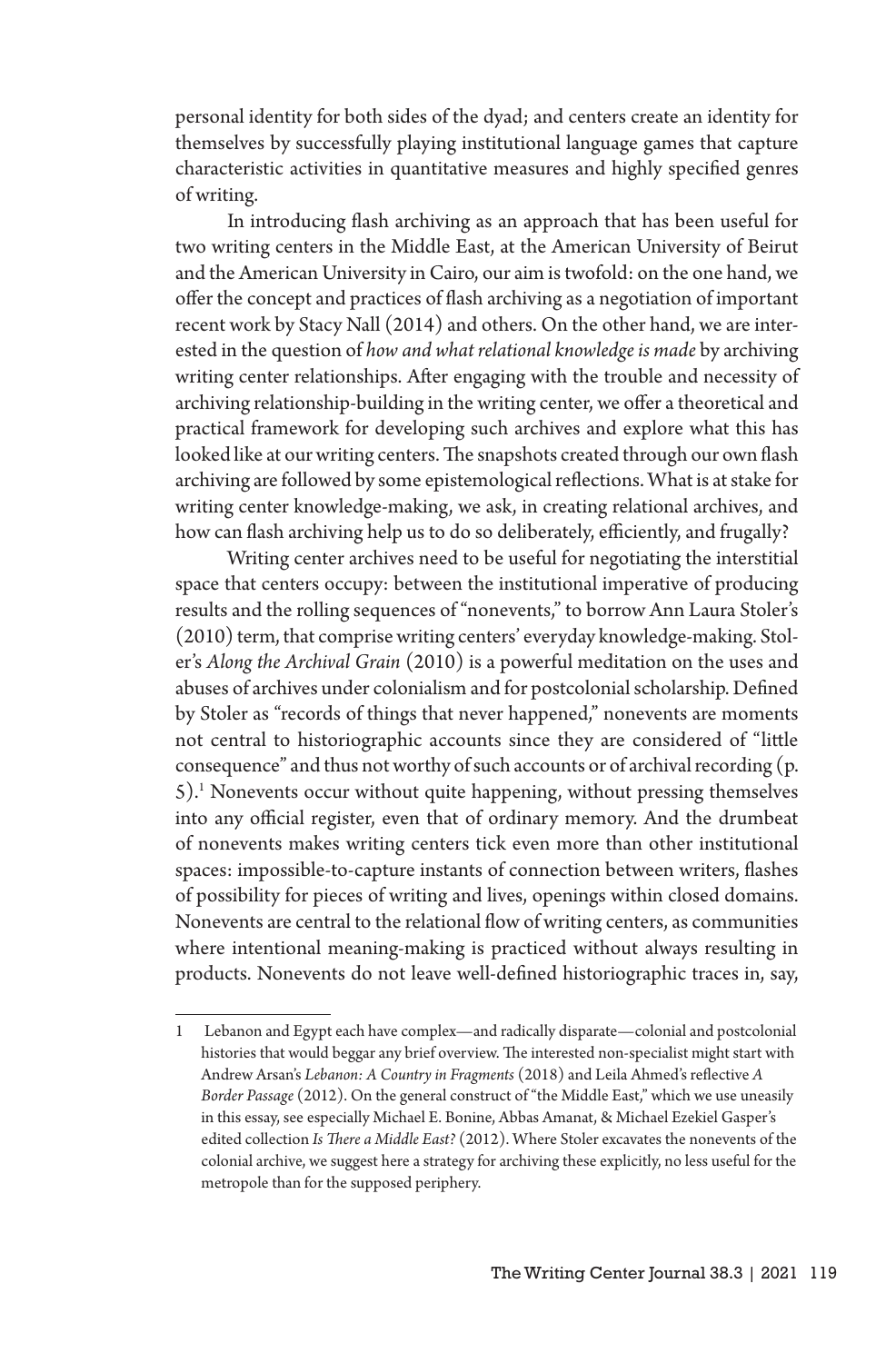personal identity for both sides of the dyad; and centers create an identity for themselves by successfully playing institutional language games that capture characteristic activities in quantitative measures and highly specified genres of writing.

In introducing flash archiving as an approach that has been useful for two writing centers in the Middle East, at the American University of Beirut and the American University in Cairo, our aim is twofold: on the one hand, we offer the concept and practices of flash archiving as a negotiation of important recent work by Stacy Nall (2014) and others. On the other hand, we are interested in the question of *how and what relational knowledge is made* by archiving writing center relationships. After engaging with the trouble and necessity of archiving relationship-building in the writing center, we offer a theoretical and practical framework for developing such archives and explore what this has looked like at our writing centers. The snapshots created through our own flash archiving are followed by some epistemological reflections. What is at stake for writing center knowledge-making, we ask, in creating relational archives, and how can flash archiving help us to do so deliberately, efficiently, and frugally?

Writing center archives need to be useful for negotiating the interstitial space that centers occupy: between the institutional imperative of producing results and the rolling sequences of "nonevents," to borrow Ann Laura Stoler's (2010) term, that comprise writing centers' everyday knowledge-making. Stoler's *Along the Archival Grain* (2010) is a powerful meditation on the uses and abuses of archives under colonialism and for postcolonial scholarship. Defined by Stoler as "records of things that never happened," nonevents are moments not central to historiographic accounts since they are considered of "little consequence" and thus not worthy of such accounts or of archival recording (p. 5).<sup>1</sup> Nonevents occur without quite happening, without pressing themselves into any official register, even that of ordinary memory. And the drumbeat of nonevents makes writing centers tick even more than other institutional spaces: impossible-to-capture instants of connection between writers, flashes of possibility for pieces of writing and lives, openings within closed domains. Nonevents are central to the relational flow of writing centers, as communities where intentional meaning-making is practiced without always resulting in products. Nonevents do not leave well-defined historiographic traces in, say,

<sup>1</sup> Lebanon and Egypt each have complex—and radically disparate—colonial and postcolonial histories that would beggar any brief overview. The interested non-specialist might start with Andrew Arsan's *Lebanon: A Country in Fragments* (2018) and Leila Ahmed's reflective *A Border Passage* (2012). On the general construct of "the Middle East," which we use uneasily in this essay, see especially Michael E. Bonine, Abbas Amanat, & Michael Ezekiel Gasper's edited collection *Is There a Middle East?* (2012). Where Stoler excavates the nonevents of the colonial archive, we suggest here a strategy for archiving these explicitly, no less useful for the metropole than for the supposed periphery.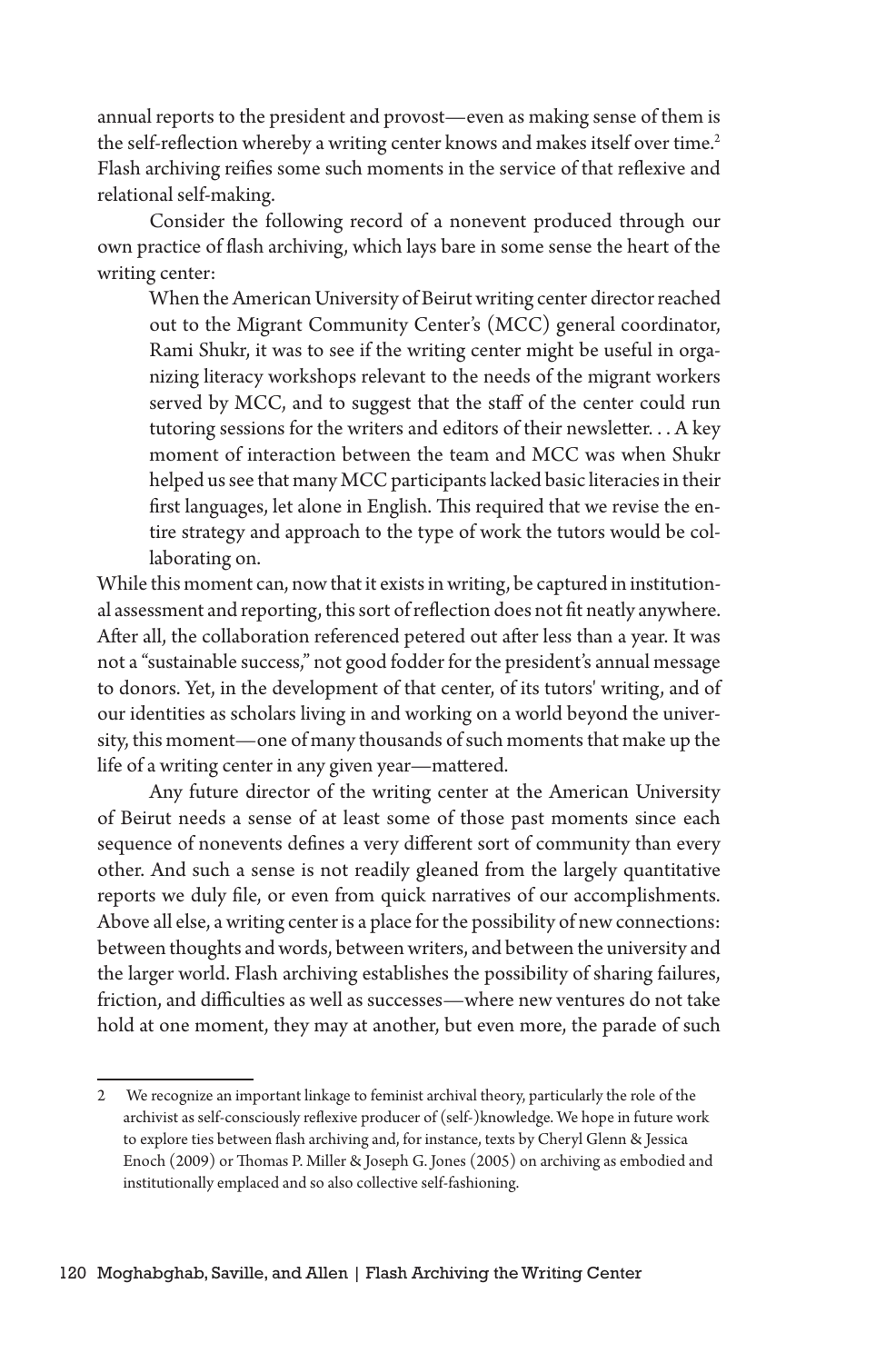annual reports to the president and provost—even as making sense of them is the self-reflection whereby a writing center knows and makes itself over time.<sup>2</sup> Flash archiving reifies some such moments in the service of that reflexive and relational self-making.

Consider the following record of a nonevent produced through our own practice of flash archiving, which lays bare in some sense the heart of the writing center:

When the American University of Beirut writing center director reached out to the Migrant Community Center's (MCC) general coordinator, Rami Shukr, it was to see if the writing center might be useful in organizing literacy workshops relevant to the needs of the migrant workers served by MCC, and to suggest that the staff of the center could run tutoring sessions for the writers and editors of their newsletter. . . A key moment of interaction between the team and MCC was when Shukr helped us see that many MCC participants lacked basic literacies in their first languages, let alone in English. This required that we revise the entire strategy and approach to the type of work the tutors would be collaborating on.

While this moment can, now that it exists in writing, be captured in institutional assessment and reporting, this sort of reflection does not fit neatly anywhere. After all, the collaboration referenced petered out after less than a year. It was not a "sustainable success," not good fodder for the president's annual message to donors. Yet, in the development of that center, of its tutors' writing, and of our identities as scholars living in and working on a world beyond the university, this moment—one of many thousands of such moments that make up the life of a writing center in any given year—mattered.

Any future director of the writing center at the American University of Beirut needs a sense of at least some of those past moments since each sequence of nonevents defines a very different sort of community than every other. And such a sense is not readily gleaned from the largely quantitative reports we duly file, or even from quick narratives of our accomplishments. Above all else, a writing center is a place for the possibility of new connections: between thoughts and words, between writers, and between the university and the larger world. Flash archiving establishes the possibility of sharing failures, friction, and difficulties as well as successes—where new ventures do not take hold at one moment, they may at another, but even more, the parade of such

<sup>2</sup> We recognize an important linkage to feminist archival theory, particularly the role of the archivist as self-consciously reflexive producer of (self-)knowledge. We hope in future work to explore ties between flash archiving and, for instance, texts by Cheryl Glenn & Jessica Enoch (2009) or Thomas P. Miller & Joseph G. Jones (2005) on archiving as embodied and institutionally emplaced and so also collective self-fashioning.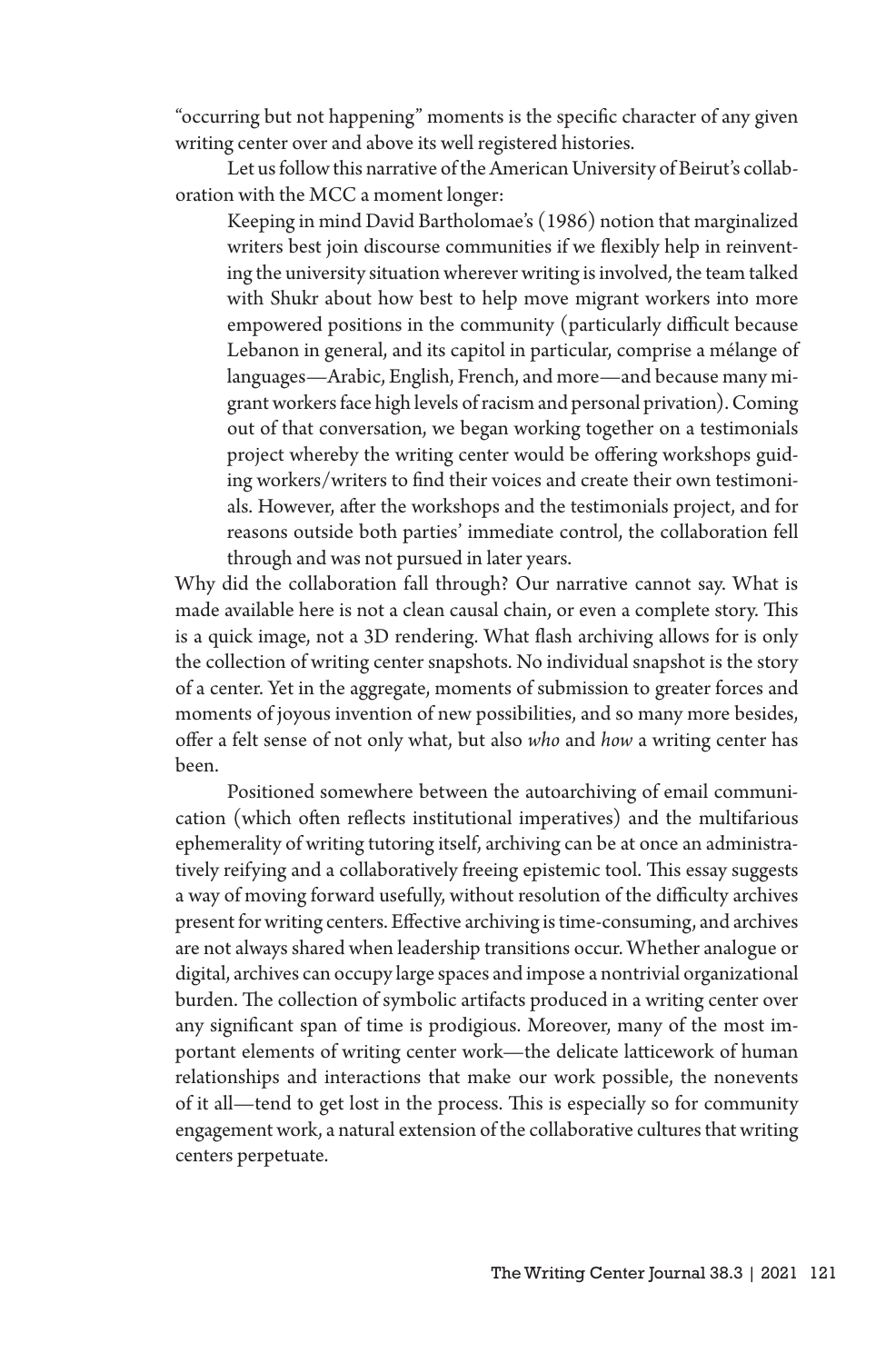"occurring but not happening" moments is the specific character of any given writing center over and above its well registered histories.

Let us follow this narrative of the American University of Beirut's collaboration with the MCC a moment longer:

Keeping in mind David Bartholomae's (1986) notion that marginalized writers best join discourse communities if we flexibly help in reinventing the university situation wherever writing is involved, the team talked with Shukr about how best to help move migrant workers into more empowered positions in the community (particularly difficult because Lebanon in general, and its capitol in particular, comprise a mélange of languages—Arabic, English, French, and more—and because many migrant workers face high levels of racism and personal privation). Coming out of that conversation, we began working together on a testimonials project whereby the writing center would be offering workshops guiding workers/writers to find their voices and create their own testimonials. However, after the workshops and the testimonials project, and for reasons outside both parties' immediate control, the collaboration fell through and was not pursued in later years.

Why did the collaboration fall through? Our narrative cannot say. What is made available here is not a clean causal chain, or even a complete story. This is a quick image, not a 3D rendering. What flash archiving allows for is only the collection of writing center snapshots. No individual snapshot is the story of a center. Yet in the aggregate, moments of submission to greater forces and moments of joyous invention of new possibilities, and so many more besides, offer a felt sense of not only what, but also *who* and *how* a writing center has been.

Positioned somewhere between the autoarchiving of email communication (which often reflects institutional imperatives) and the multifarious ephemerality of writing tutoring itself, archiving can be at once an administratively reifying and a collaboratively freeing epistemic tool. This essay suggests a way of moving forward usefully, without resolution of the difficulty archives present for writing centers. Effective archiving is time-consuming, and archives are not always shared when leadership transitions occur. Whether analogue or digital, archives can occupy large spaces and impose a nontrivial organizational burden. The collection of symbolic artifacts produced in a writing center over any significant span of time is prodigious. Moreover, many of the most important elements of writing center work—the delicate latticework of human relationships and interactions that make our work possible, the nonevents of it all—tend to get lost in the process. This is especially so for community engagement work, a natural extension of the collaborative cultures that writing centers perpetuate.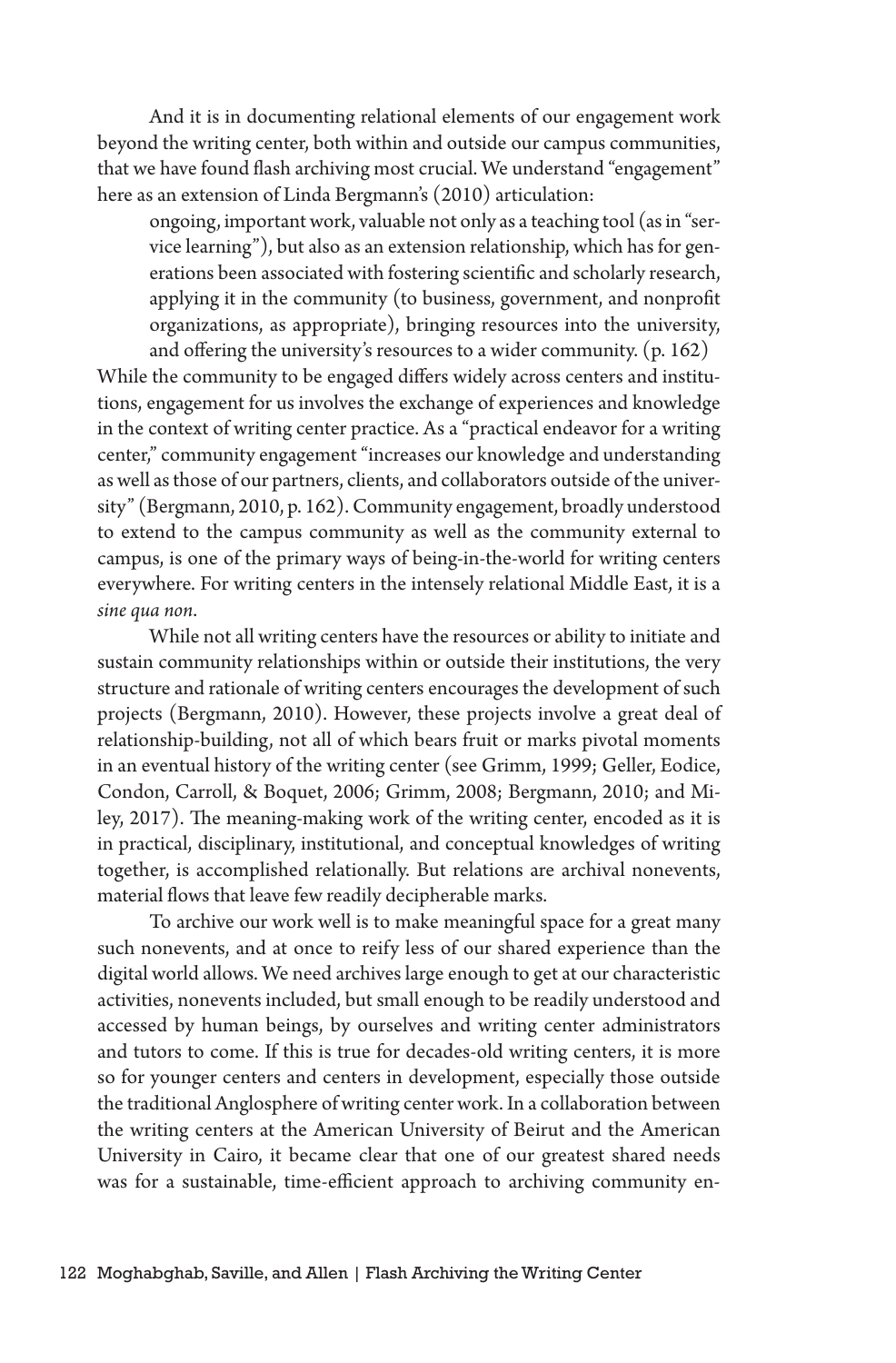And it is in documenting relational elements of our engagement work beyond the writing center, both within and outside our campus communities, that we have found flash archiving most crucial. We understand "engagement" here as an extension of Linda Bergmann's (2010) articulation:

ongoing, important work, valuable not only as a teaching tool (as in "service learning"), but also as an extension relationship, which has for generations been associated with fostering scientific and scholarly research, applying it in the community (to business, government, and nonprofit organizations, as appropriate), bringing resources into the university, and offering the university's resources to a wider community. (p. 162)

While the community to be engaged differs widely across centers and institutions, engagement for us involves the exchange of experiences and knowledge in the context of writing center practice. As a "practical endeavor for a writing center," community engagement "increases our knowledge and understanding as well as those of our partners, clients, and collaborators outside of the university" (Bergmann, 2010, p. 162). Community engagement, broadly understood to extend to the campus community as well as the community external to campus, is one of the primary ways of being-in-the-world for writing centers everywhere. For writing centers in the intensely relational Middle East, it is a *sine qua non*.

While not all writing centers have the resources or ability to initiate and sustain community relationships within or outside their institutions, the very structure and rationale of writing centers encourages the development of such projects (Bergmann, 2010). However, these projects involve a great deal of relationship-building, not all of which bears fruit or marks pivotal moments in an eventual history of the writing center (see Grimm, 1999; Geller, Eodice, Condon, Carroll, & Boquet, 2006; Grimm, 2008; Bergmann, 2010; and Miley, 2017). The meaning-making work of the writing center, encoded as it is in practical, disciplinary, institutional, and conceptual knowledges of writing together, is accomplished relationally. But relations are archival nonevents, material flows that leave few readily decipherable marks.

To archive our work well is to make meaningful space for a great many such nonevents, and at once to reify less of our shared experience than the digital world allows. We need archives large enough to get at our characteristic activities, nonevents included, but small enough to be readily understood and accessed by human beings, by ourselves and writing center administrators and tutors to come. If this is true for decades-old writing centers, it is more so for younger centers and centers in development, especially those outside the traditional Anglosphere of writing center work. In a collaboration between the writing centers at the American University of Beirut and the American University in Cairo, it became clear that one of our greatest shared needs was for a sustainable, time-efficient approach to archiving community en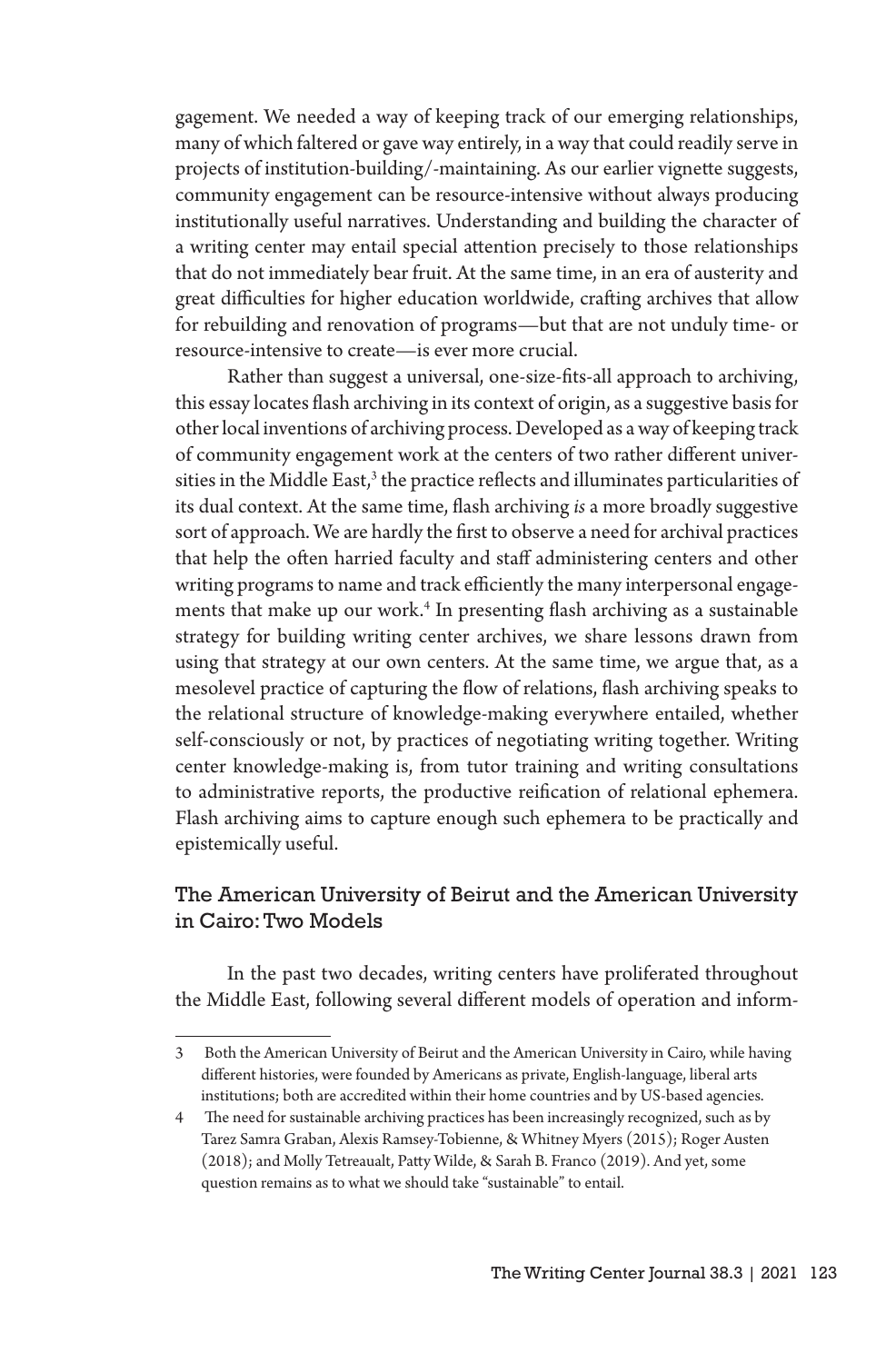gagement. We needed a way of keeping track of our emerging relationships, many of which faltered or gave way entirely, in a way that could readily serve in projects of institution-building/-maintaining. As our earlier vignette suggests, community engagement can be resource-intensive without always producing institutionally useful narratives. Understanding and building the character of a writing center may entail special attention precisely to those relationships that do not immediately bear fruit. At the same time, in an era of austerity and great difficulties for higher education worldwide, crafting archives that allow for rebuilding and renovation of programs—but that are not unduly time- or resource-intensive to create—is ever more crucial.

Rather than suggest a universal, one-size-fits-all approach to archiving, this essay locates flash archiving in its context of origin, as a suggestive basis for other local inventions of archiving process. Developed as a way of keeping track of community engagement work at the centers of two rather different universities in the Middle East, $^3$  the practice reflects and illuminates particularities of its dual context. At the same time, flash archiving *is* a more broadly suggestive sort of approach. We are hardly the first to observe a need for archival practices that help the often harried faculty and staff administering centers and other writing programs to name and track efficiently the many interpersonal engagements that make up our work.4 In presenting flash archiving as a sustainable strategy for building writing center archives, we share lessons drawn from using that strategy at our own centers. At the same time, we argue that, as a mesolevel practice of capturing the flow of relations, flash archiving speaks to the relational structure of knowledge-making everywhere entailed, whether self-consciously or not, by practices of negotiating writing together. Writing center knowledge-making is, from tutor training and writing consultations to administrative reports, the productive reification of relational ephemera. Flash archiving aims to capture enough such ephemera to be practically and epistemically useful.

## The American University of Beirut and the American University in Cairo: Two Models

In the past two decades, writing centers have proliferated throughout the Middle East, following several different models of operation and inform-

<sup>3</sup> Both the American University of Beirut and the American University in Cairo, while having different histories, were founded by Americans as private, English-language, liberal arts institutions; both are accredited within their home countries and by US-based agencies.

<sup>4</sup> The need for sustainable archiving practices has been increasingly recognized, such as by Tarez Samra Graban, Alexis Ramsey-Tobienne, & Whitney Myers (2015); Roger Austen (2018); and Molly Tetreaualt, Patty Wilde, & Sarah B. Franco (2019). And yet, some question remains as to what we should take "sustainable" to entail.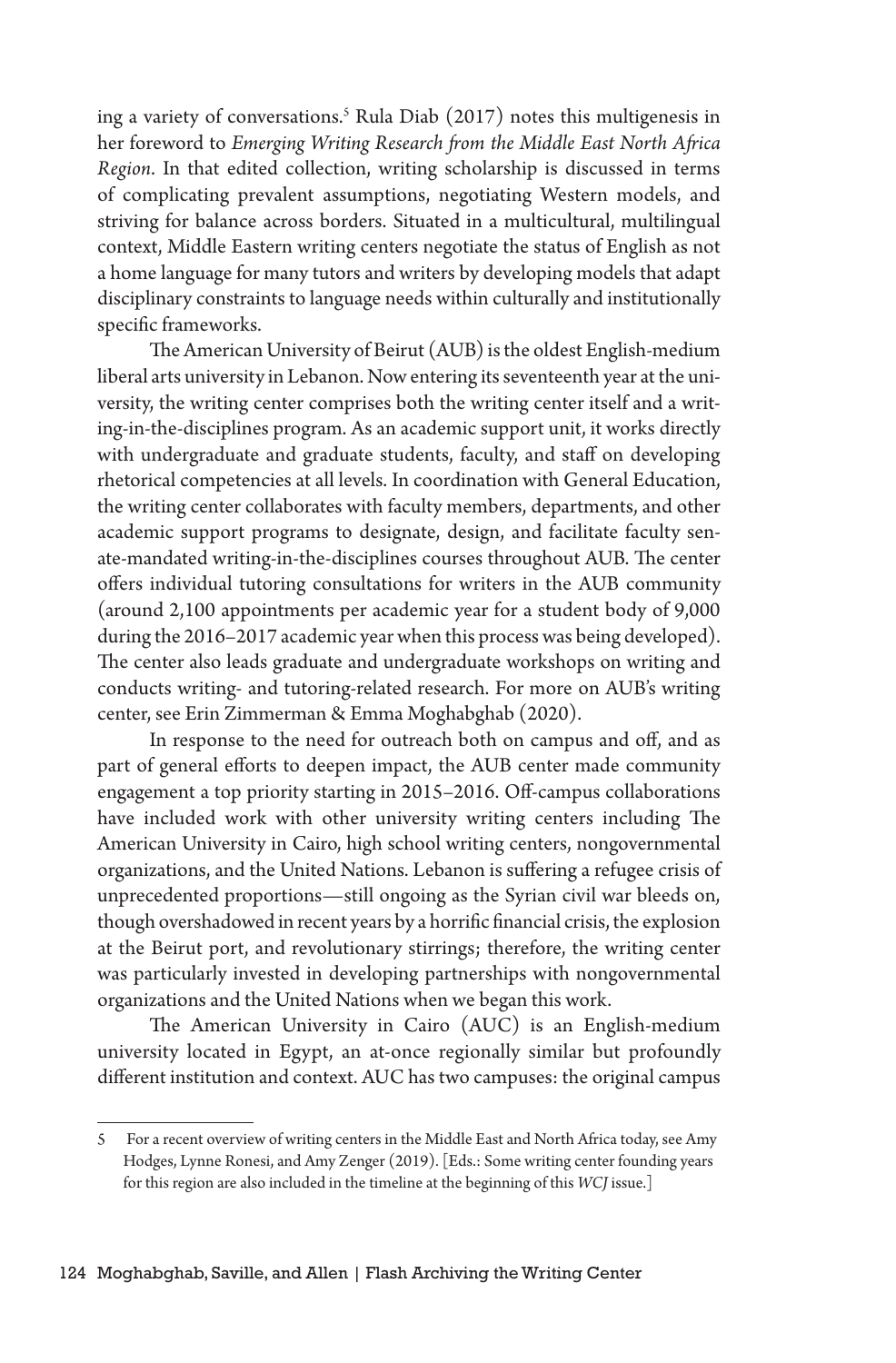ing a variety of conversations.5 Rula Diab (2017) notes this multigenesis in her foreword to *Emerging Writing Research from the Middle East North Africa Region*. In that edited collection, writing scholarship is discussed in terms of complicating prevalent assumptions, negotiating Western models, and striving for balance across borders. Situated in a multicultural, multilingual context, Middle Eastern writing centers negotiate the status of English as not a home language for many tutors and writers by developing models that adapt disciplinary constraints to language needs within culturally and institutionally specific frameworks.

The American University of Beirut (AUB) is the oldest English-medium liberal arts university in Lebanon. Now entering its seventeenth year at the university, the writing center comprises both the writing center itself and a writing-in-the-disciplines program. As an academic support unit, it works directly with undergraduate and graduate students, faculty, and staff on developing rhetorical competencies at all levels. In coordination with General Education, the writing center collaborates with faculty members, departments, and other academic support programs to designate, design, and facilitate faculty senate-mandated writing-in-the-disciplines courses throughout AUB. The center offers individual tutoring consultations for writers in the AUB community (around 2,100 appointments per academic year for a student body of 9,000 during the 2016–2017 academic year when this process was being developed). The center also leads graduate and undergraduate workshops on writing and conducts writing- and tutoring-related research. For more on AUB's writing center, see Erin Zimmerman & Emma Moghabghab (2020).

In response to the need for outreach both on campus and off, and as part of general efforts to deepen impact, the AUB center made community engagement a top priority starting in 2015–2016. Off-campus collaborations have included work with other university writing centers including The American University in Cairo, high school writing centers, nongovernmental organizations, and the United Nations. Lebanon is suffering a refugee crisis of unprecedented proportions—still ongoing as the Syrian civil war bleeds on, though overshadowed in recent years by a horrific financial crisis, the explosion at the Beirut port, and revolutionary stirrings; therefore, the writing center was particularly invested in developing partnerships with nongovernmental organizations and the United Nations when we began this work.

The American University in Cairo (AUC) is an English-medium university located in Egypt, an at-once regionally similar but profoundly different institution and context. AUC has two campuses: the original campus

<sup>5</sup> For a recent overview of writing centers in the Middle East and North Africa today, see Amy Hodges, Lynne Ronesi, and Amy Zenger (2019). [Eds.: Some writing center founding years for this region are also included in the timeline at the beginning of this *WCJ* issue.]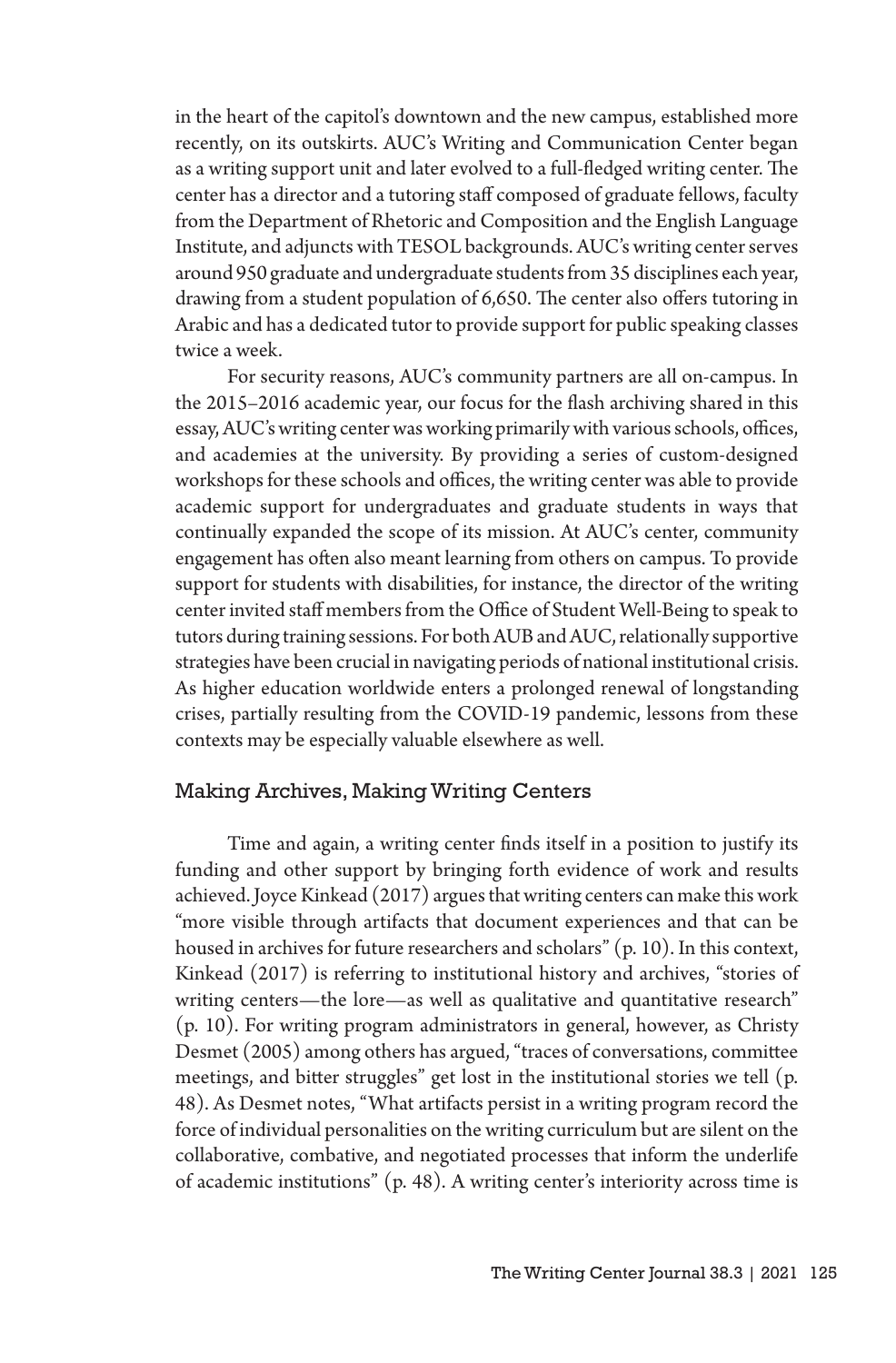in the heart of the capitol's downtown and the new campus, established more recently, on its outskirts. AUC's Writing and Communication Center began as a writing support unit and later evolved to a full-fledged writing center. The center has a director and a tutoring staff composed of graduate fellows, faculty from the Department of Rhetoric and Composition and the English Language Institute, and adjuncts with TESOL backgrounds. AUC's writing center serves around 950 graduate and undergraduate students from 35 disciplines each year, drawing from a student population of 6,650. The center also offers tutoring in Arabic and has a dedicated tutor to provide support for public speaking classes twice a week.

For security reasons, AUC's community partners are all on-campus. In the 2015–2016 academic year, our focus for the flash archiving shared in this essay, AUC's writing center was working primarily with various schools, offices, and academies at the university. By providing a series of custom-designed workshops for these schools and offices, the writing center was able to provide academic support for undergraduates and graduate students in ways that continually expanded the scope of its mission. At AUC's center, community engagement has often also meant learning from others on campus. To provide support for students with disabilities, for instance, the director of the writing center invited staff members from the Office of Student Well-Being to speak to tutors during training sessions. For both AUB and AUC, relationally supportive strategies have been crucial in navigating periods of national institutional crisis. As higher education worldwide enters a prolonged renewal of longstanding crises, partially resulting from the COVID-19 pandemic, lessons from these contexts may be especially valuable elsewhere as well.

### Making Archives, Making Writing Centers

Time and again, a writing center finds itself in a position to justify its funding and other support by bringing forth evidence of work and results achieved. Joyce Kinkead (2017) argues that writing centers can make this work "more visible through artifacts that document experiences and that can be housed in archives for future researchers and scholars" (p. 10). In this context, Kinkead (2017) is referring to institutional history and archives, "stories of writing centers—the lore—as well as qualitative and quantitative research" (p. 10). For writing program administrators in general, however, as Christy Desmet (2005) among others has argued, "traces of conversations, committee meetings, and bitter struggles" get lost in the institutional stories we tell (p. 48). As Desmet notes, "What artifacts persist in a writing program record the force of individual personalities on the writing curriculum but are silent on the collaborative, combative, and negotiated processes that inform the underlife of academic institutions" (p. 48). A writing center's interiority across time is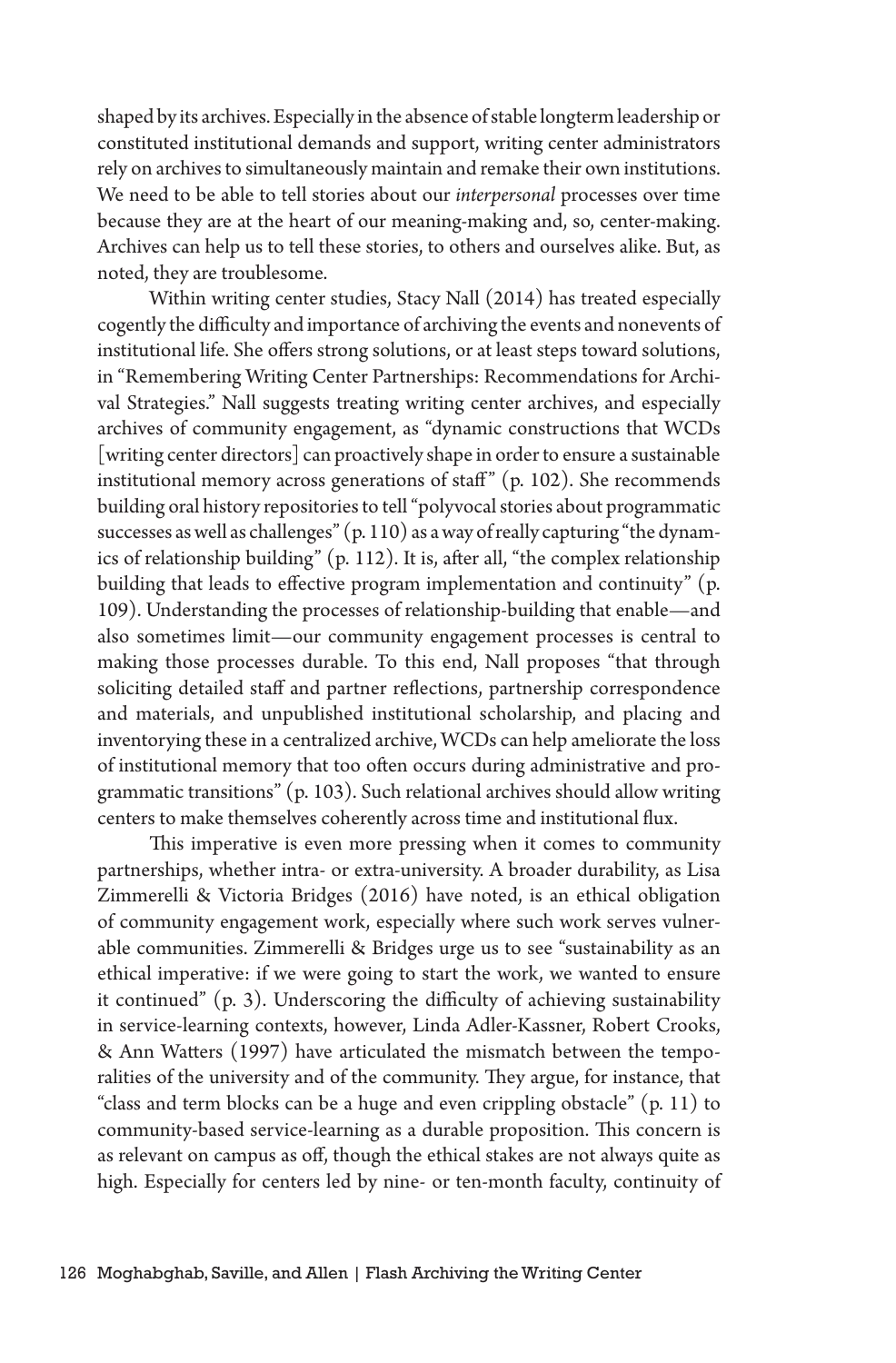shaped by its archives. Especially in the absence of stable longterm leadership or constituted institutional demands and support, writing center administrators rely on archives to simultaneously maintain and remake their own institutions. We need to be able to tell stories about our *interpersonal* processes over time because they are at the heart of our meaning-making and, so, center-making. Archives can help us to tell these stories, to others and ourselves alike. But, as noted, they are troublesome.

Within writing center studies, Stacy Nall (2014) has treated especially cogently the difficulty and importance of archiving the events and nonevents of institutional life. She offers strong solutions, or at least steps toward solutions, in "Remembering Writing Center Partnerships: Recommendations for Archival Strategies." Nall suggests treating writing center archives, and especially archives of community engagement, as "dynamic constructions that WCDs [writing center directors] can proactively shape in order to ensure a sustainable institutional memory across generations of staff"  $(p. 102)$ . She recommends building oral history repositories to tell "polyvocal stories about programmatic successes as well as challenges" (p. 110) as a way of really capturing "the dynamics of relationship building" (p. 112). It is, after all, "the complex relationship building that leads to effective program implementation and continuity" (p. 109). Understanding the processes of relationship-building that enable—and also sometimes limit—our community engagement processes is central to making those processes durable. To this end, Nall proposes "that through soliciting detailed staff and partner reflections, partnership correspondence and materials, and unpublished institutional scholarship, and placing and inventorying these in a centralized archive, WCDs can help ameliorate the loss of institutional memory that too often occurs during administrative and programmatic transitions" (p. 103). Such relational archives should allow writing centers to make themselves coherently across time and institutional flux.

This imperative is even more pressing when it comes to community partnerships, whether intra- or extra-university. A broader durability, as Lisa Zimmerelli & Victoria Bridges (2016) have noted, is an ethical obligation of community engagement work, especially where such work serves vulnerable communities. Zimmerelli & Bridges urge us to see "sustainability as an ethical imperative: if we were going to start the work, we wanted to ensure it continued" (p. 3). Underscoring the difficulty of achieving sustainability in service-learning contexts, however, Linda Adler-Kassner, Robert Crooks, & Ann Watters (1997) have articulated the mismatch between the temporalities of the university and of the community. They argue, for instance, that "class and term blocks can be a huge and even crippling obstacle" (p. 11) to community-based service-learning as a durable proposition. This concern is as relevant on campus as off, though the ethical stakes are not always quite as high. Especially for centers led by nine- or ten-month faculty, continuity of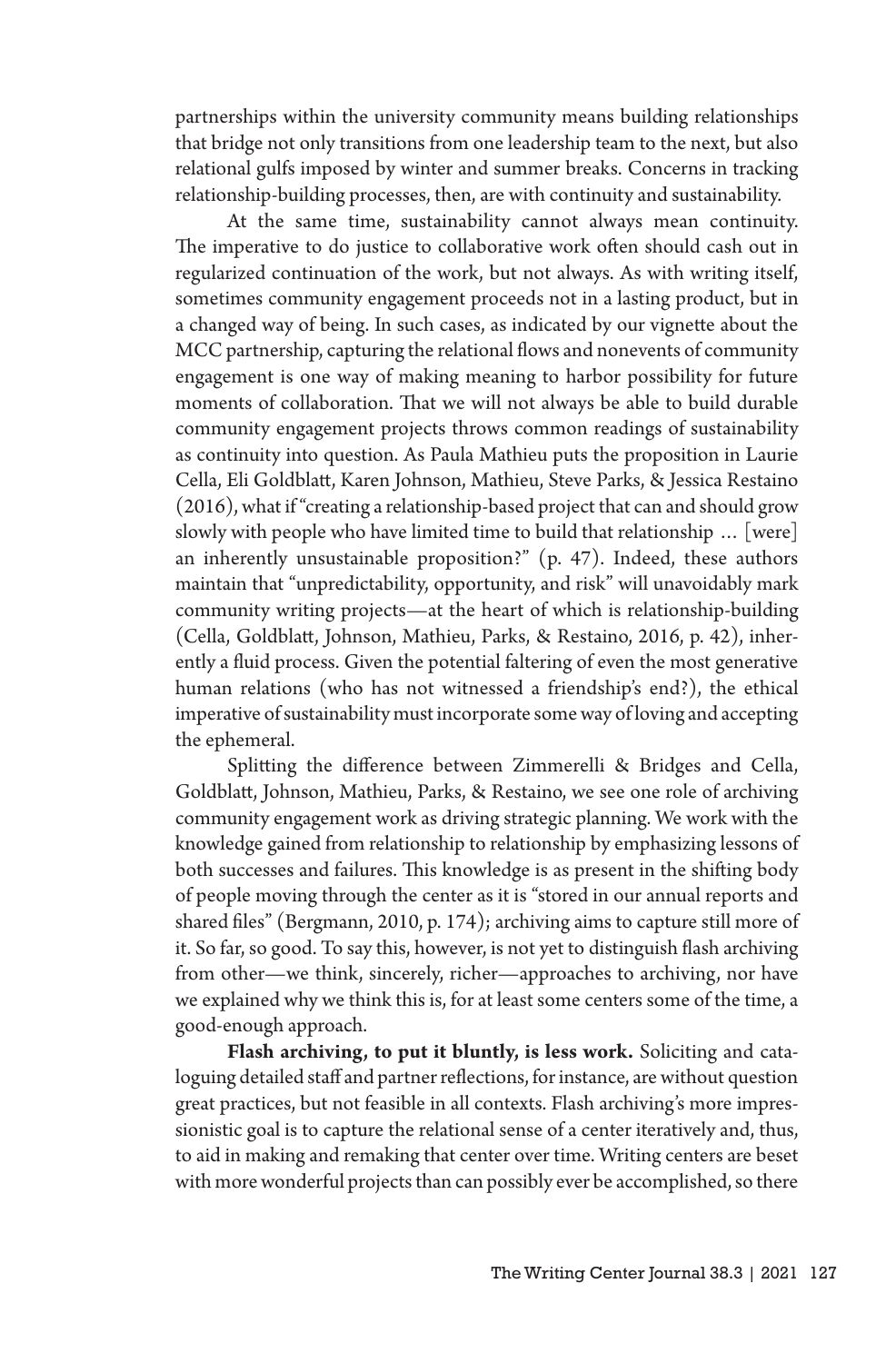partnerships within the university community means building relationships that bridge not only transitions from one leadership team to the next, but also relational gulfs imposed by winter and summer breaks. Concerns in tracking relationship-building processes, then, are with continuity and sustainability.

At the same time, sustainability cannot always mean continuity. The imperative to do justice to collaborative work often should cash out in regularized continuation of the work, but not always. As with writing itself, sometimes community engagement proceeds not in a lasting product, but in a changed way of being. In such cases, as indicated by our vignette about the MCC partnership, capturing the relational flows and nonevents of community engagement is one way of making meaning to harbor possibility for future moments of collaboration. That we will not always be able to build durable community engagement projects throws common readings of sustainability as continuity into question. As Paula Mathieu puts the proposition in Laurie Cella, Eli Goldblatt, Karen Johnson, Mathieu, Steve Parks, & Jessica Restaino (2016), what if "creating a relationship-based project that can and should grow slowly with people who have limited time to build that relationship … [were] an inherently unsustainable proposition?" (p. 47). Indeed, these authors maintain that "unpredictability, opportunity, and risk" will unavoidably mark community writing projects—at the heart of which is relationship-building (Cella, Goldblatt, Johnson, Mathieu, Parks, & Restaino, 2016, p. 42), inherently a fluid process. Given the potential faltering of even the most generative human relations (who has not witnessed a friendship's end?), the ethical imperative of sustainability must incorporate some way of loving and accepting the ephemeral.

Splitting the difference between Zimmerelli & Bridges and Cella, Goldblatt, Johnson, Mathieu, Parks, & Restaino, we see one role of archiving community engagement work as driving strategic planning. We work with the knowledge gained from relationship to relationship by emphasizing lessons of both successes and failures. This knowledge is as present in the shifting body of people moving through the center as it is "stored in our annual reports and shared files" (Bergmann, 2010, p. 174); archiving aims to capture still more of it. So far, so good. To say this, however, is not yet to distinguish flash archiving from other—we think, sincerely, richer—approaches to archiving, nor have we explained why we think this is, for at least some centers some of the time, a good-enough approach.

**Flash archiving, to put it bluntly, is less work.** Soliciting and cataloguing detailed staff and partner reflections, for instance, are without question great practices, but not feasible in all contexts. Flash archiving's more impressionistic goal is to capture the relational sense of a center iteratively and, thus, to aid in making and remaking that center over time. Writing centers are beset with more wonderful projects than can possibly ever be accomplished, so there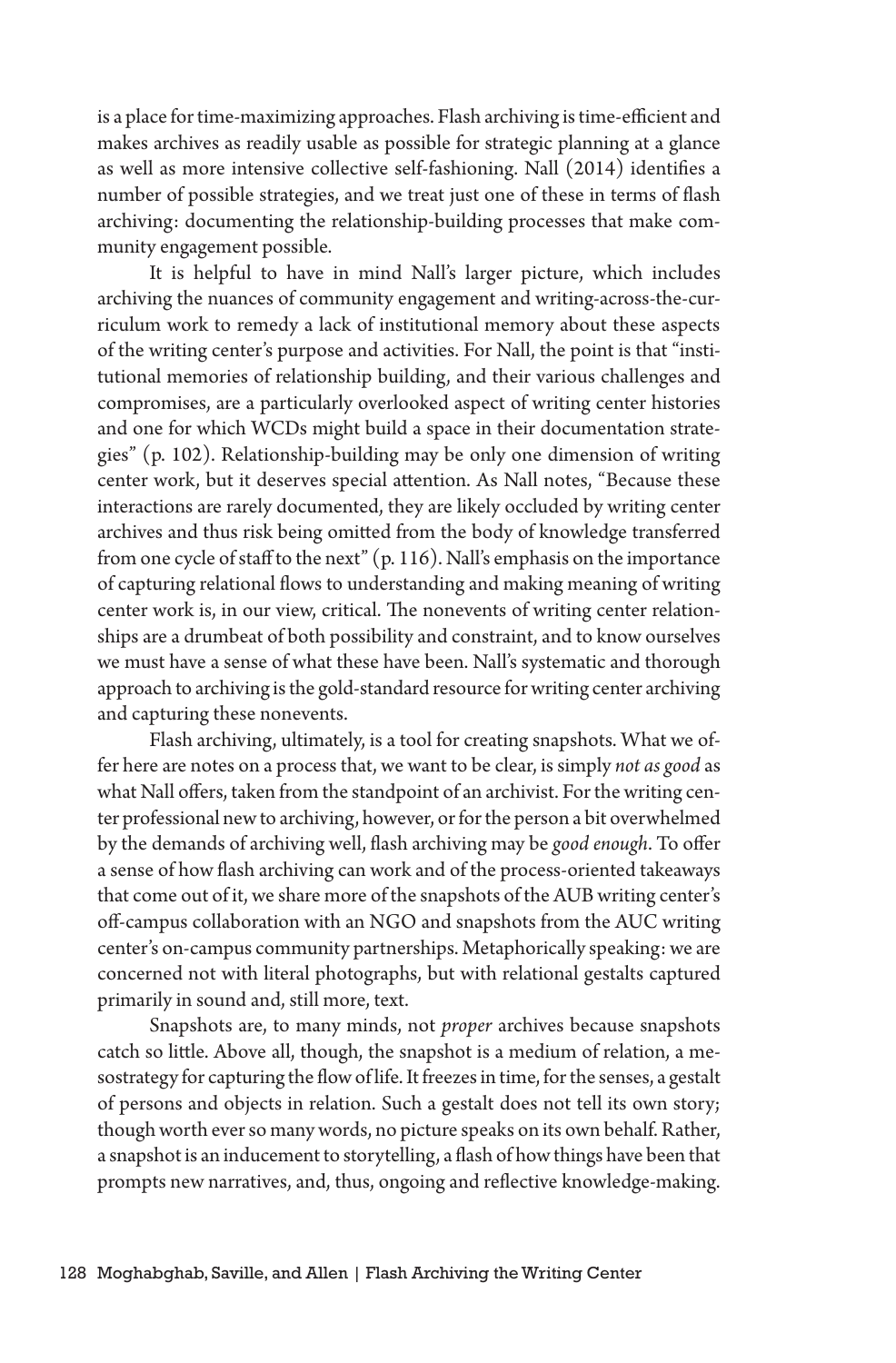is a place for time-maximizing approaches. Flash archiving is time-efficient and makes archives as readily usable as possible for strategic planning at a glance as well as more intensive collective self-fashioning. Nall (2014) identifies a number of possible strategies, and we treat just one of these in terms of flash archiving: documenting the relationship-building processes that make community engagement possible.

It is helpful to have in mind Nall's larger picture, which includes archiving the nuances of community engagement and writing-across-the-curriculum work to remedy a lack of institutional memory about these aspects of the writing center's purpose and activities. For Nall, the point is that "institutional memories of relationship building, and their various challenges and compromises, are a particularly overlooked aspect of writing center histories and one for which WCDs might build a space in their documentation strategies" (p. 102). Relationship-building may be only one dimension of writing center work, but it deserves special attention. As Nall notes, "Because these interactions are rarely documented, they are likely occluded by writing center archives and thus risk being omitted from the body of knowledge transferred from one cycle of staff to the next" (p. 116). Nall's emphasis on the importance of capturing relational flows to understanding and making meaning of writing center work is, in our view, critical. The nonevents of writing center relationships are a drumbeat of both possibility and constraint, and to know ourselves we must have a sense of what these have been. Nall's systematic and thorough approach to archiving is the gold-standard resource for writing center archiving and capturing these nonevents.

Flash archiving, ultimately, is a tool for creating snapshots. What we offer here are notes on a process that, we want to be clear, is simply *not as good* as what Nall offers, taken from the standpoint of an archivist. For the writing center professional new to archiving, however, or for the person a bit overwhelmed by the demands of archiving well, flash archiving may be *good enough*. To offer a sense of how flash archiving can work and of the process-oriented takeaways that come out of it, we share more of the snapshots of the AUB writing center's off-campus collaboration with an NGO and snapshots from the AUC writing center's on-campus community partnerships. Metaphorically speaking: we are concerned not with literal photographs, but with relational gestalts captured primarily in sound and, still more, text.

Snapshots are, to many minds, not *proper* archives because snapshots catch so little. Above all, though, the snapshot is a medium of relation, a mesostrategy for capturing the flow of life. It freezes in time, for the senses, a gestalt of persons and objects in relation. Such a gestalt does not tell its own story; though worth ever so many words, no picture speaks on its own behalf. Rather, a snapshot is an inducement to storytelling, a flash of how things have been that prompts new narratives, and, thus, ongoing and reflective knowledge-making.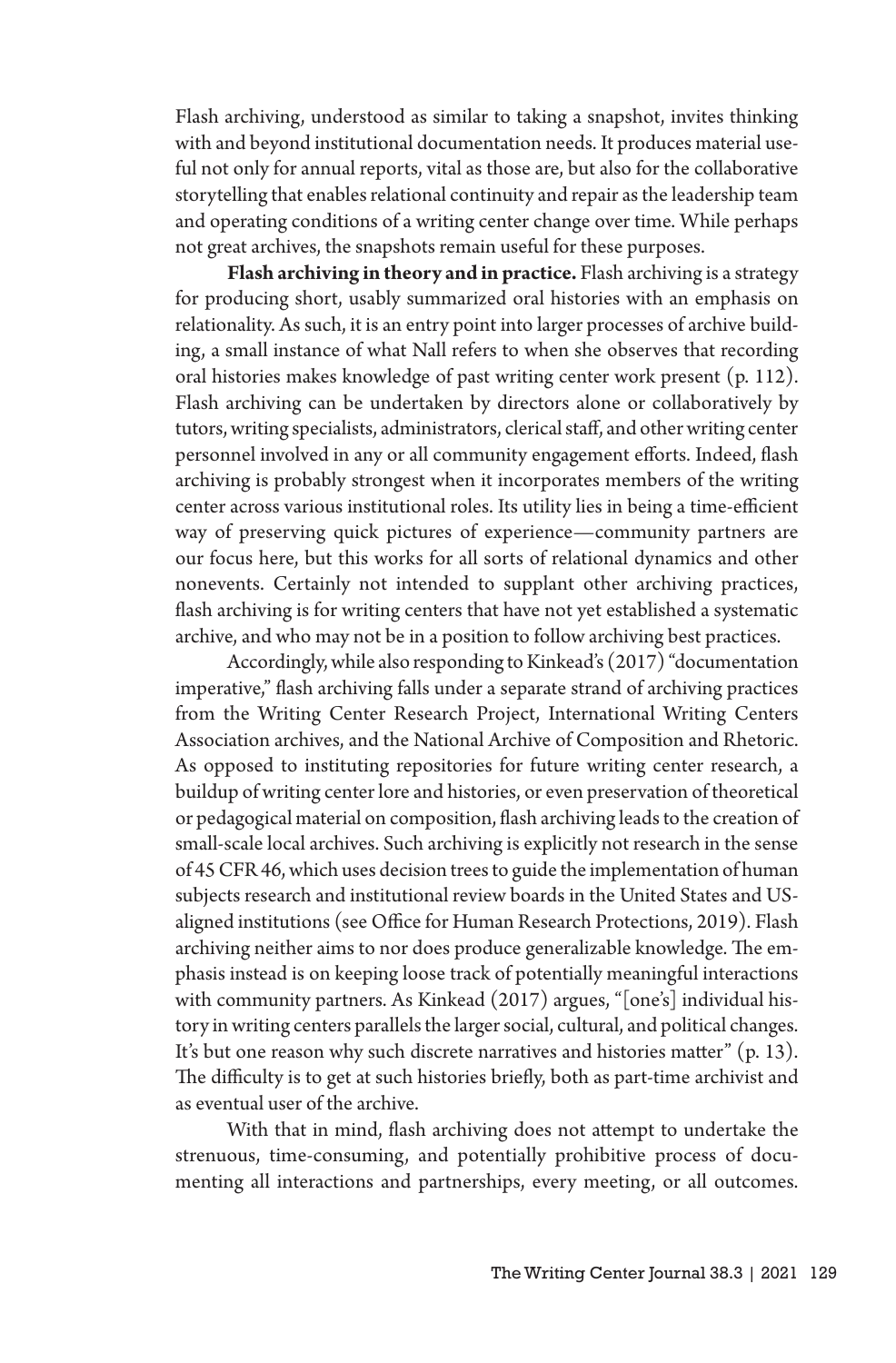Flash archiving, understood as similar to taking a snapshot, invites thinking with and beyond institutional documentation needs. It produces material useful not only for annual reports, vital as those are, but also for the collaborative storytelling that enables relational continuity and repair as the leadership team and operating conditions of a writing center change over time. While perhaps not great archives, the snapshots remain useful for these purposes.

**Flash archiving in theory and in practice.** Flash archiving is a strategy for producing short, usably summarized oral histories with an emphasis on relationality. As such, it is an entry point into larger processes of archive building, a small instance of what Nall refers to when she observes that recording oral histories makes knowledge of past writing center work present (p. 112). Flash archiving can be undertaken by directors alone or collaboratively by tutors, writing specialists, administrators, clerical staff, and other writing center personnel involved in any or all community engagement efforts. Indeed, flash archiving is probably strongest when it incorporates members of the writing center across various institutional roles. Its utility lies in being a time-efficient way of preserving quick pictures of experience—community partners are our focus here, but this works for all sorts of relational dynamics and other nonevents. Certainly not intended to supplant other archiving practices, flash archiving is for writing centers that have not yet established a systematic archive, and who may not be in a position to follow archiving best practices.

Accordingly, while also responding to Kinkead's (2017) "documentation imperative," flash archiving falls under a separate strand of archiving practices from the Writing Center Research Project, International Writing Centers Association archives, and the National Archive of Composition and Rhetoric. As opposed to instituting repositories for future writing center research, a buildup of writing center lore and histories, or even preservation of theoretical or pedagogical material on composition, flash archiving leads to the creation of small-scale local archives. Such archiving is explicitly not research in the sense of 45 CFR 46, which uses decision trees to guide the implementation of human subjects research and institutional review boards in the United States and USaligned institutions (see Office for Human Research Protections, 2019). Flash archiving neither aims to nor does produce generalizable knowledge. The emphasis instead is on keeping loose track of potentially meaningful interactions with community partners. As Kinkead (2017) argues, "[one's] individual history in writing centers parallels the larger social, cultural, and political changes. It's but one reason why such discrete narratives and histories matter" (p. 13). The difficulty is to get at such histories briefly, both as part-time archivist and as eventual user of the archive.

With that in mind, flash archiving does not attempt to undertake the strenuous, time-consuming, and potentially prohibitive process of documenting all interactions and partnerships, every meeting, or all outcomes.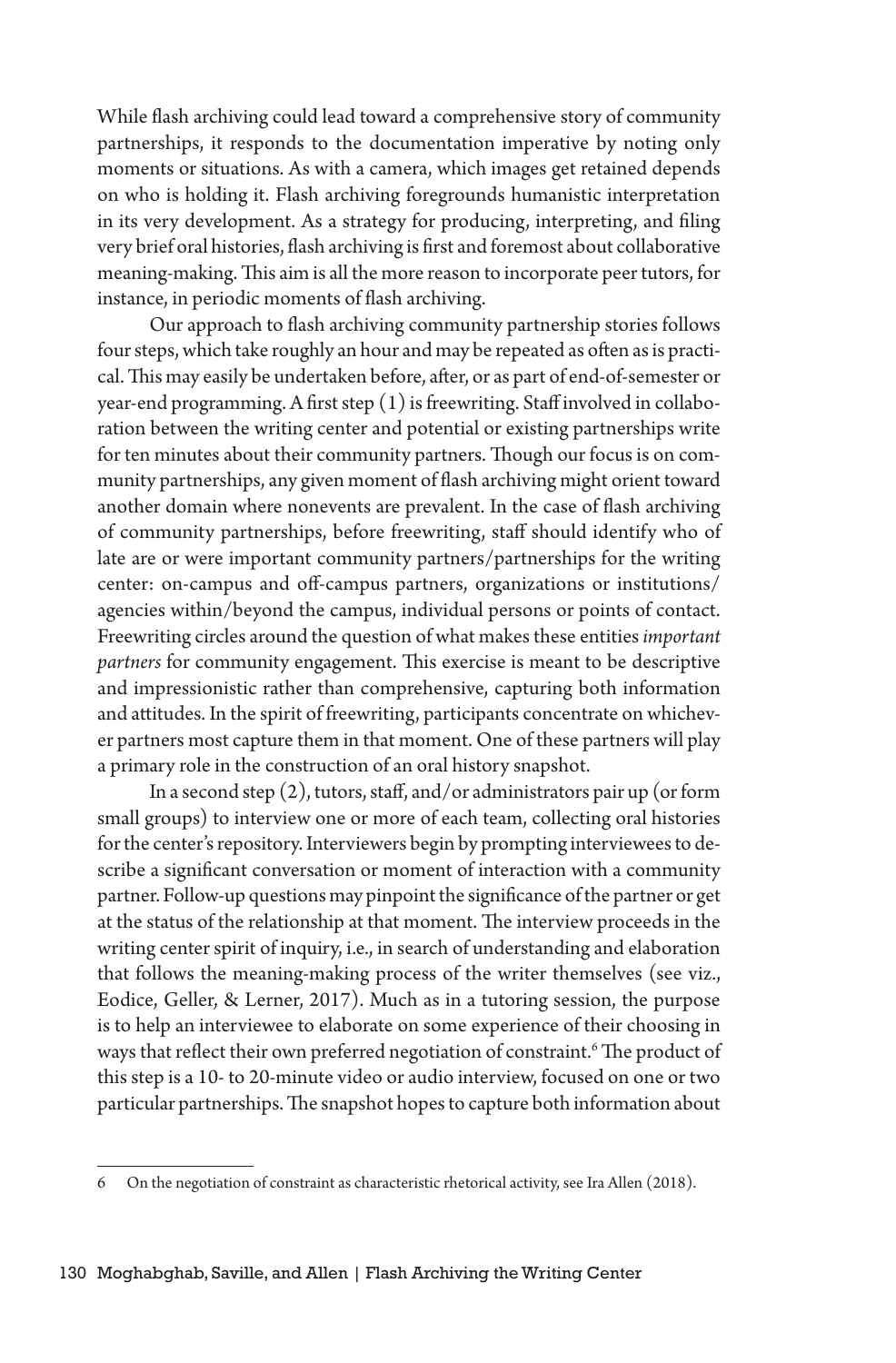While flash archiving could lead toward a comprehensive story of community partnerships, it responds to the documentation imperative by noting only moments or situations. As with a camera, which images get retained depends on who is holding it. Flash archiving foregrounds humanistic interpretation in its very development. As a strategy for producing, interpreting, and filing very brief oral histories, flash archiving is first and foremost about collaborative meaning-making. This aim is all the more reason to incorporate peer tutors, for instance, in periodic moments of flash archiving.

Our approach to flash archiving community partnership stories follows four steps, which take roughly an hour and may be repeated as often as is practical. This may easily be undertaken before, after, or as part of end-of-semester or year-end programming. A first step (1) is freewriting. Staff involved in collaboration between the writing center and potential or existing partnerships write for ten minutes about their community partners. Though our focus is on community partnerships, any given moment of flash archiving might orient toward another domain where nonevents are prevalent. In the case of flash archiving of community partnerships, before freewriting, staff should identify who of late are or were important community partners/partnerships for the writing center: on-campus and off-campus partners, organizations or institutions/ agencies within/beyond the campus, individual persons or points of contact. Freewriting circles around the question of what makes these entities *important partners* for community engagement. This exercise is meant to be descriptive and impressionistic rather than comprehensive, capturing both information and attitudes. In the spirit of freewriting, participants concentrate on whichever partners most capture them in that moment. One of these partners will play a primary role in the construction of an oral history snapshot.

In a second step (2), tutors, staff, and/or administrators pair up (or form small groups) to interview one or more of each team, collecting oral histories for the center's repository. Interviewers begin by prompting interviewees to describe a significant conversation or moment of interaction with a community partner. Follow-up questions may pinpoint the significance of the partner or get at the status of the relationship at that moment. The interview proceeds in the writing center spirit of inquiry, i.e., in search of understanding and elaboration that follows the meaning-making process of the writer themselves (see viz., Eodice, Geller, & Lerner, 2017). Much as in a tutoring session, the purpose is to help an interviewee to elaborate on some experience of their choosing in ways that reflect their own preferred negotiation of constraint.<sup>6</sup> The product of this step is a 10- to 20-minute video or audio interview, focused on one or two particular partnerships. The snapshot hopes to capture both information about

<sup>6</sup> On the negotiation of constraint as characteristic rhetorical activity, see Ira Allen (2018).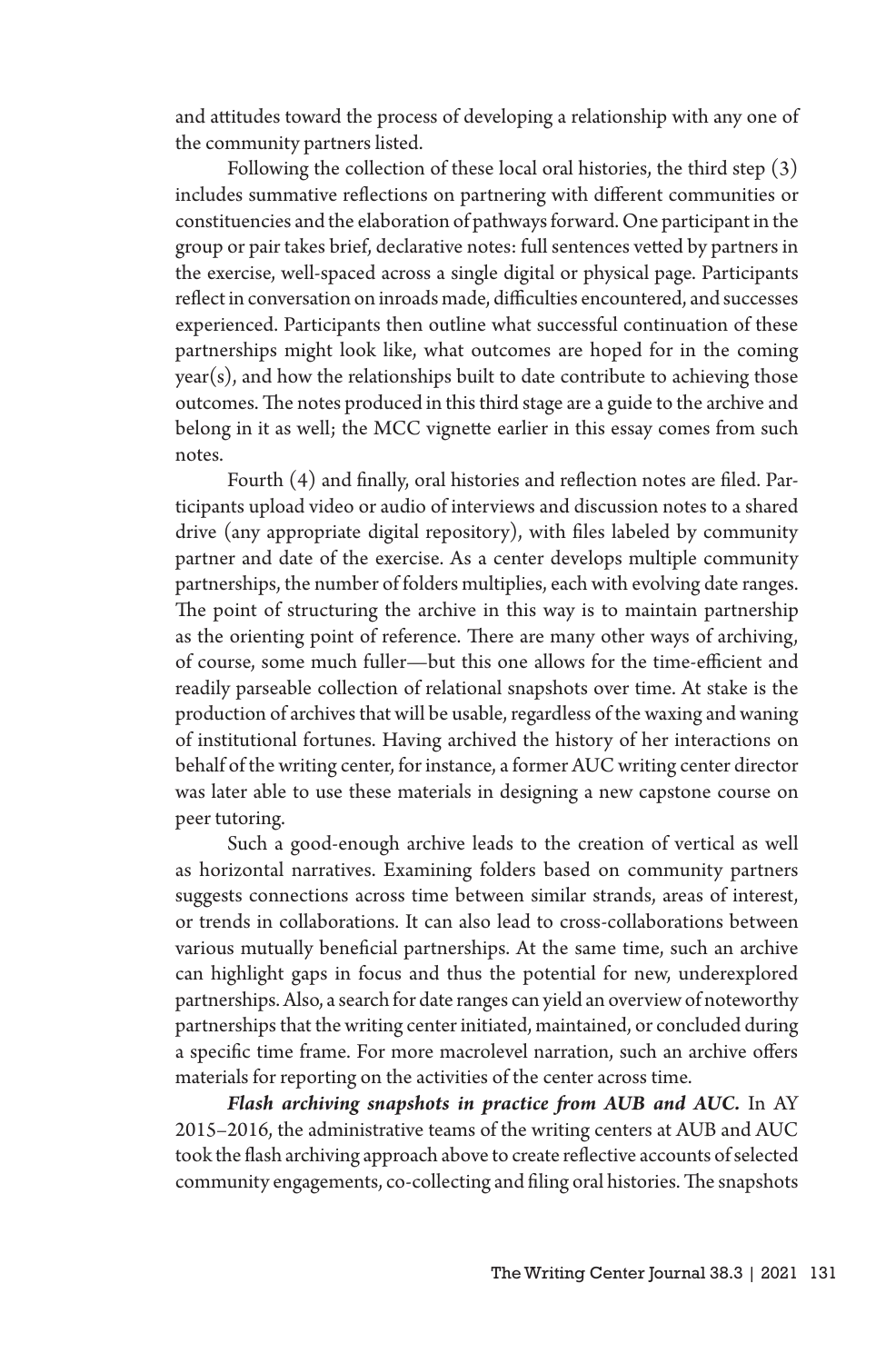and attitudes toward the process of developing a relationship with any one of the community partners listed.

Following the collection of these local oral histories, the third step (3) includes summative reflections on partnering with different communities or constituencies and the elaboration of pathways forward. One participant in the group or pair takes brief, declarative notes: full sentences vetted by partners in the exercise, well-spaced across a single digital or physical page. Participants reflect in conversation on inroads made, difficulties encountered, and successes experienced. Participants then outline what successful continuation of these partnerships might look like, what outcomes are hoped for in the coming year(s), and how the relationships built to date contribute to achieving those outcomes. The notes produced in this third stage are a guide to the archive and belong in it as well; the MCC vignette earlier in this essay comes from such notes.

Fourth (4) and finally, oral histories and reflection notes are filed. Participants upload video or audio of interviews and discussion notes to a shared drive (any appropriate digital repository), with files labeled by community partner and date of the exercise. As a center develops multiple community partnerships, the number of folders multiplies, each with evolving date ranges. The point of structuring the archive in this way is to maintain partnership as the orienting point of reference. There are many other ways of archiving, of course, some much fuller—but this one allows for the time-efficient and readily parseable collection of relational snapshots over time. At stake is the production of archives that will be usable, regardless of the waxing and waning of institutional fortunes. Having archived the history of her interactions on behalf of the writing center, for instance, a former AUC writing center director was later able to use these materials in designing a new capstone course on peer tutoring.

Such a good-enough archive leads to the creation of vertical as well as horizontal narratives. Examining folders based on community partners suggests connections across time between similar strands, areas of interest, or trends in collaborations. It can also lead to cross-collaborations between various mutually beneficial partnerships. At the same time, such an archive can highlight gaps in focus and thus the potential for new, underexplored partnerships. Also, a search for date ranges can yield an overview of noteworthy partnerships that the writing center initiated, maintained, or concluded during a specific time frame. For more macrolevel narration, such an archive offers materials for reporting on the activities of the center across time.

*Flash archiving snapshots in practice from AUB and AUC.* In AY 2015–2016, the administrative teams of the writing centers at AUB and AUC took the flash archiving approach above to create reflective accounts of selected community engagements, co-collecting and filing oral histories. The snapshots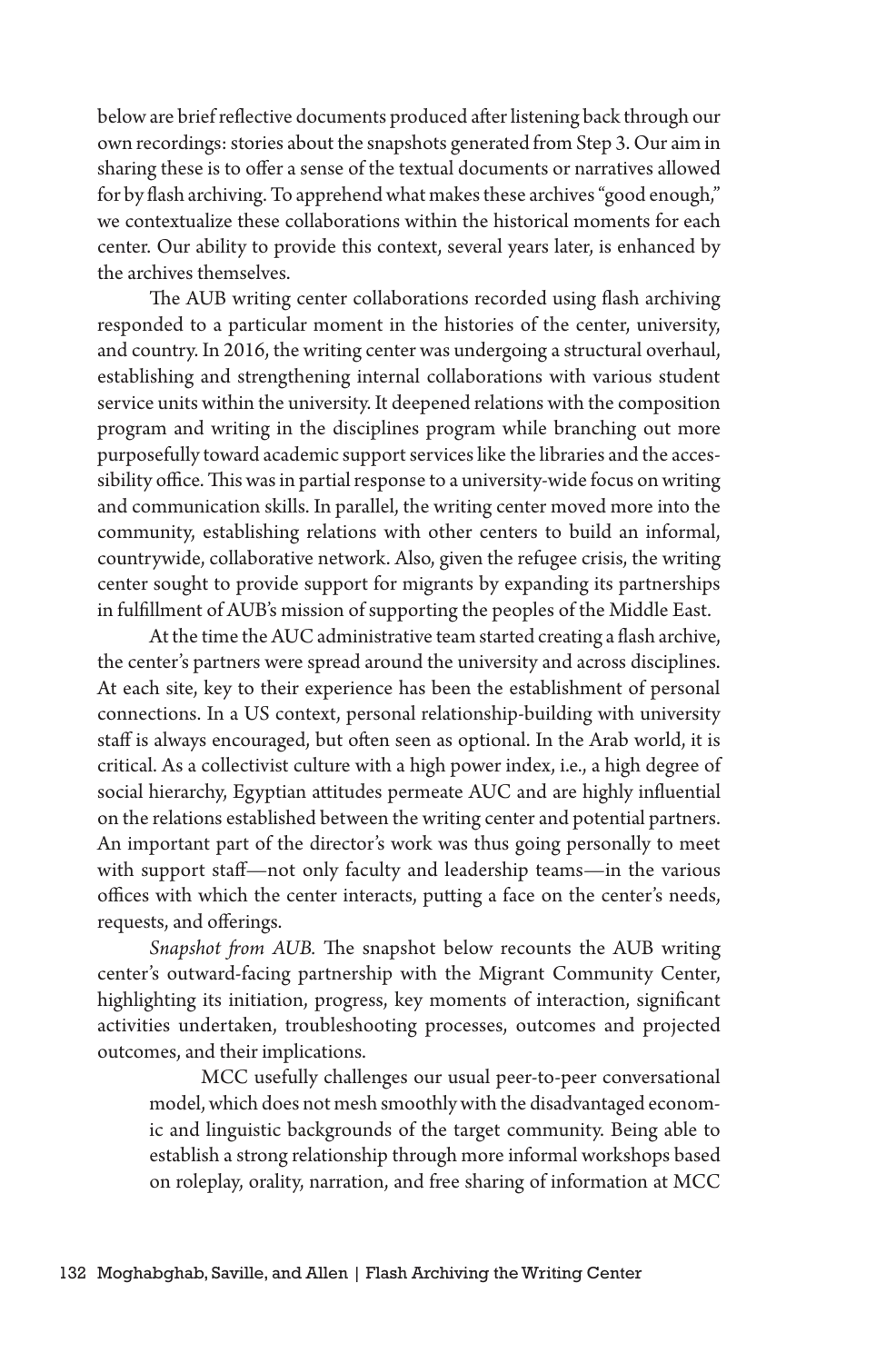below are brief reflective documents produced after listening back through our own recordings: stories about the snapshots generated from Step 3. Our aim in sharing these is to offer a sense of the textual documents or narratives allowed for by flash archiving. To apprehend what makes these archives "good enough," we contextualize these collaborations within the historical moments for each center. Our ability to provide this context, several years later, is enhanced by the archives themselves.

The AUB writing center collaborations recorded using flash archiving responded to a particular moment in the histories of the center, university, and country. In 2016, the writing center was undergoing a structural overhaul, establishing and strengthening internal collaborations with various student service units within the university. It deepened relations with the composition program and writing in the disciplines program while branching out more purposefully toward academic support services like the libraries and the accessibility office. This was in partial response to a university-wide focus on writing and communication skills. In parallel, the writing center moved more into the community, establishing relations with other centers to build an informal, countrywide, collaborative network. Also, given the refugee crisis, the writing center sought to provide support for migrants by expanding its partnerships in fulfillment of AUB's mission of supporting the peoples of the Middle East.

At the time the AUC administrative team started creating a flash archive, the center's partners were spread around the university and across disciplines. At each site, key to their experience has been the establishment of personal connections. In a US context, personal relationship-building with university staff is always encouraged, but often seen as optional. In the Arab world, it is critical. As a collectivist culture with a high power index, i.e., a high degree of social hierarchy, Egyptian attitudes permeate AUC and are highly influential on the relations established between the writing center and potential partners. An important part of the director's work was thus going personally to meet with support staff—not only faculty and leadership teams—in the various offices with which the center interacts, putting a face on the center's needs, requests, and offerings.

*Snapshot from AUB.* The snapshot below recounts the AUB writing center's outward-facing partnership with the Migrant Community Center, highlighting its initiation, progress, key moments of interaction, significant activities undertaken, troubleshooting processes, outcomes and projected outcomes, and their implications.

MCC usefully challenges our usual peer-to-peer conversational model, which does not mesh smoothly with the disadvantaged economic and linguistic backgrounds of the target community. Being able to establish a strong relationship through more informal workshops based on roleplay, orality, narration, and free sharing of information at MCC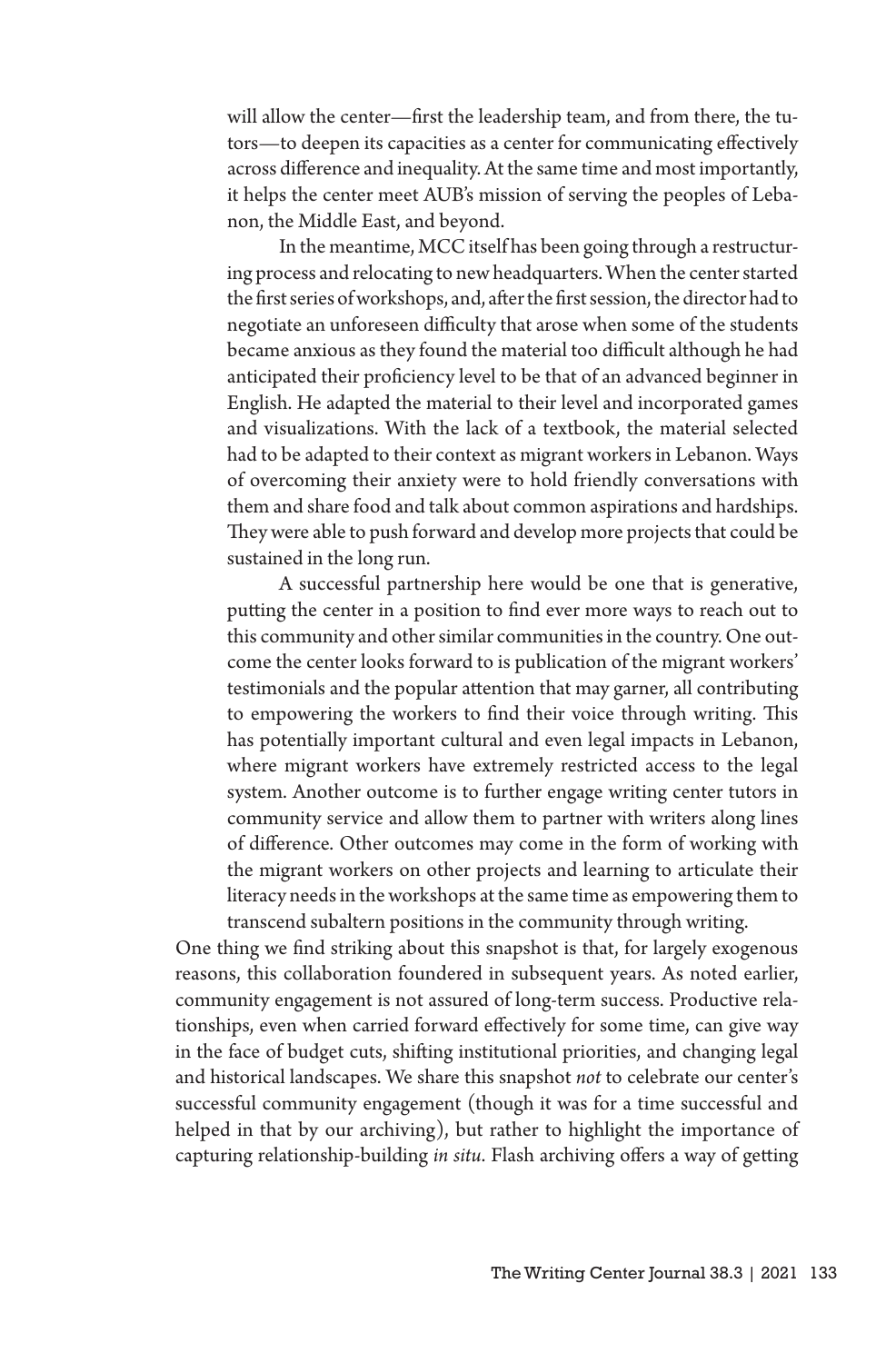will allow the center—first the leadership team, and from there, the tutors—to deepen its capacities as a center for communicating effectively across difference and inequality. At the same time and most importantly, it helps the center meet AUB's mission of serving the peoples of Lebanon, the Middle East, and beyond.

In the meantime, MCC itself has been going through a restructuring process and relocating to new headquarters. When the center started the first series of workshops, and, after the first session, the director had to negotiate an unforeseen difficulty that arose when some of the students became anxious as they found the material too difficult although he had anticipated their proficiency level to be that of an advanced beginner in English. He adapted the material to their level and incorporated games and visualizations. With the lack of a textbook, the material selected had to be adapted to their context as migrant workers in Lebanon. Ways of overcoming their anxiety were to hold friendly conversations with them and share food and talk about common aspirations and hardships. They were able to push forward and develop more projects that could be sustained in the long run.

A successful partnership here would be one that is generative, putting the center in a position to find ever more ways to reach out to this community and other similar communities in the country. One outcome the center looks forward to is publication of the migrant workers' testimonials and the popular attention that may garner, all contributing to empowering the workers to find their voice through writing. This has potentially important cultural and even legal impacts in Lebanon, where migrant workers have extremely restricted access to the legal system. Another outcome is to further engage writing center tutors in community service and allow them to partner with writers along lines of difference. Other outcomes may come in the form of working with the migrant workers on other projects and learning to articulate their literacy needs in the workshops at the same time as empowering them to transcend subaltern positions in the community through writing.

One thing we find striking about this snapshot is that, for largely exogenous reasons, this collaboration foundered in subsequent years. As noted earlier, community engagement is not assured of long-term success. Productive relationships, even when carried forward effectively for some time, can give way in the face of budget cuts, shifting institutional priorities, and changing legal and historical landscapes. We share this snapshot *not* to celebrate our center's successful community engagement (though it was for a time successful and helped in that by our archiving), but rather to highlight the importance of capturing relationship-building *in situ*. Flash archiving offers a way of getting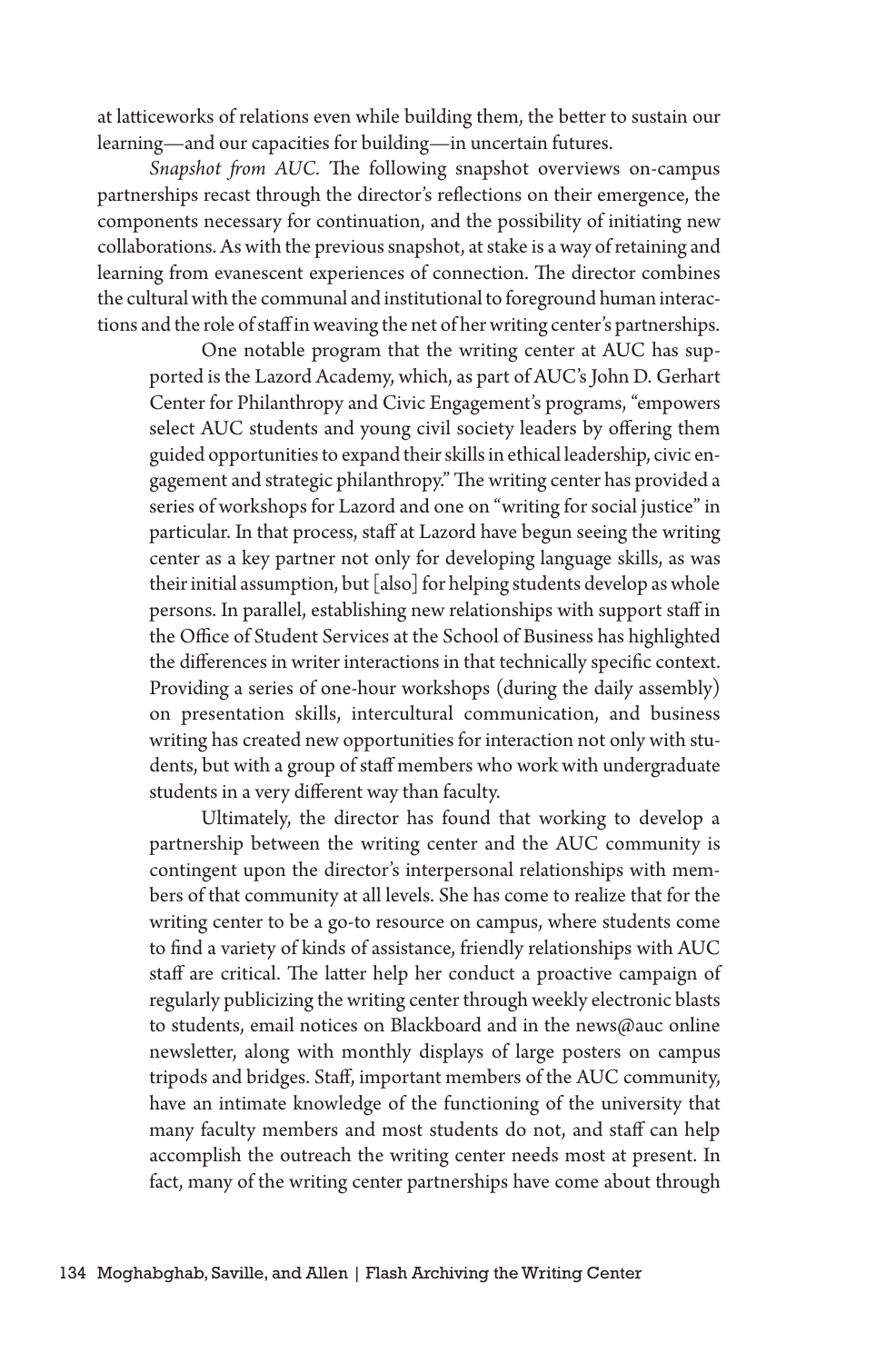at latticeworks of relations even while building them, the better to sustain our learning—and our capacities for building—in uncertain futures.

*Snapshot from AUC.* The following snapshot overviews on-campus partnerships recast through the director's reflections on their emergence, the components necessary for continuation, and the possibility of initiating new collaborations. As with the previous snapshot, at stake is a way of retaining and learning from evanescent experiences of connection. The director combines the cultural with the communal and institutional to foreground human interactions and the role of staff in weaving the net of her writing center's partnerships.

One notable program that the writing center at AUC has supported is the Lazord Academy, which, as part of AUC's John D. Gerhart Center for Philanthropy and Civic Engagement's programs, "empowers select AUC students and young civil society leaders by offering them guided opportunities to expand their skills in ethical leadership, civic engagement and strategic philanthropy." The writing center has provided a series of workshops for Lazord and one on "writing for social justice" in particular. In that process, staff at Lazord have begun seeing the writing center as a key partner not only for developing language skills, as was their initial assumption, but [also] for helping students develop as whole persons. In parallel, establishing new relationships with support staff in the Office of Student Services at the School of Business has highlighted the differences in writer interactions in that technically specific context. Providing a series of one-hour workshops (during the daily assembly) on presentation skills, intercultural communication, and business writing has created new opportunities for interaction not only with students, but with a group of staff members who work with undergraduate students in a very different way than faculty.

Ultimately, the director has found that working to develop a partnership between the writing center and the AUC community is contingent upon the director's interpersonal relationships with members of that community at all levels. She has come to realize that for the writing center to be a go-to resource on campus, where students come to find a variety of kinds of assistance, friendly relationships with AUC staff are critical. The latter help her conduct a proactive campaign of regularly publicizing the writing center through weekly electronic blasts to students, email notices on Blackboard and in the news@auc online newsletter, along with monthly displays of large posters on campus tripods and bridges. Staff, important members of the AUC community, have an intimate knowledge of the functioning of the university that many faculty members and most students do not, and staff can help accomplish the outreach the writing center needs most at present. In fact, many of the writing center partnerships have come about through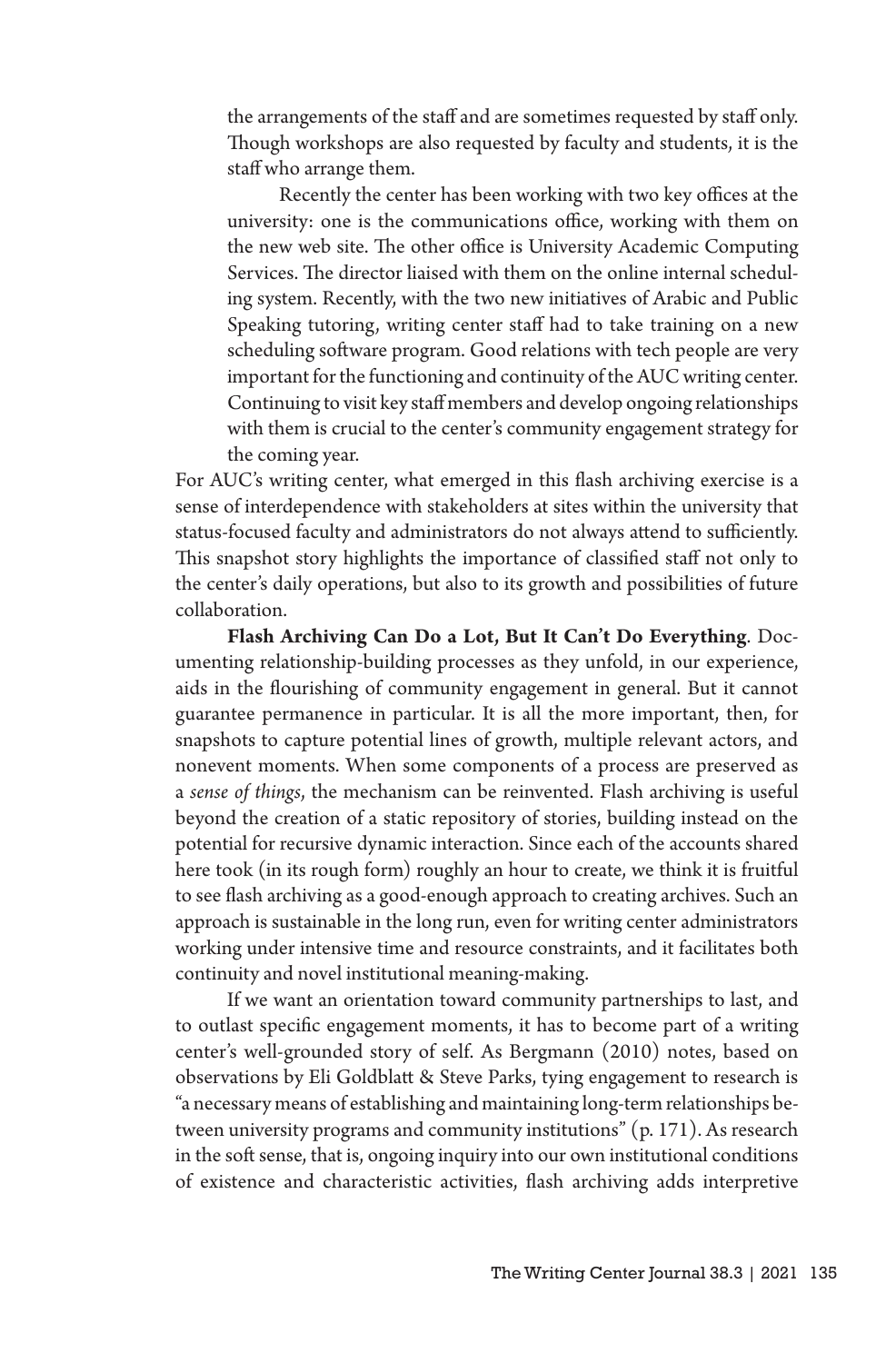the arrangements of the staff and are sometimes requested by staff only. Though workshops are also requested by faculty and students, it is the staff who arrange them.

Recently the center has been working with two key offices at the university: one is the communications office, working with them on the new web site. The other office is University Academic Computing Services. The director liaised with them on the online internal scheduling system. Recently, with the two new initiatives of Arabic and Public Speaking tutoring, writing center staff had to take training on a new scheduling software program. Good relations with tech people are very important for the functioning and continuity of the AUC writing center. Continuing to visit key staff members and develop ongoing relationships with them is crucial to the center's community engagement strategy for the coming year.

For AUC's writing center, what emerged in this flash archiving exercise is a sense of interdependence with stakeholders at sites within the university that status-focused faculty and administrators do not always attend to sufficiently. This snapshot story highlights the importance of classified staff not only to the center's daily operations, but also to its growth and possibilities of future collaboration.

**Flash Archiving Can Do a Lot, But It Can't Do Everything**. Documenting relationship-building processes as they unfold, in our experience, aids in the flourishing of community engagement in general. But it cannot guarantee permanence in particular. It is all the more important, then, for snapshots to capture potential lines of growth, multiple relevant actors, and nonevent moments. When some components of a process are preserved as a *sense of things*, the mechanism can be reinvented. Flash archiving is useful beyond the creation of a static repository of stories, building instead on the potential for recursive dynamic interaction. Since each of the accounts shared here took (in its rough form) roughly an hour to create, we think it is fruitful to see flash archiving as a good-enough approach to creating archives. Such an approach is sustainable in the long run, even for writing center administrators working under intensive time and resource constraints, and it facilitates both continuity and novel institutional meaning-making.

If we want an orientation toward community partnerships to last, and to outlast specific engagement moments, it has to become part of a writing center's well-grounded story of self. As Bergmann (2010) notes, based on observations by Eli Goldblatt & Steve Parks, tying engagement to research is "a necessary means of establishing and maintaining long-term relationships between university programs and community institutions" (p. 171). As research in the soft sense, that is, ongoing inquiry into our own institutional conditions of existence and characteristic activities, flash archiving adds interpretive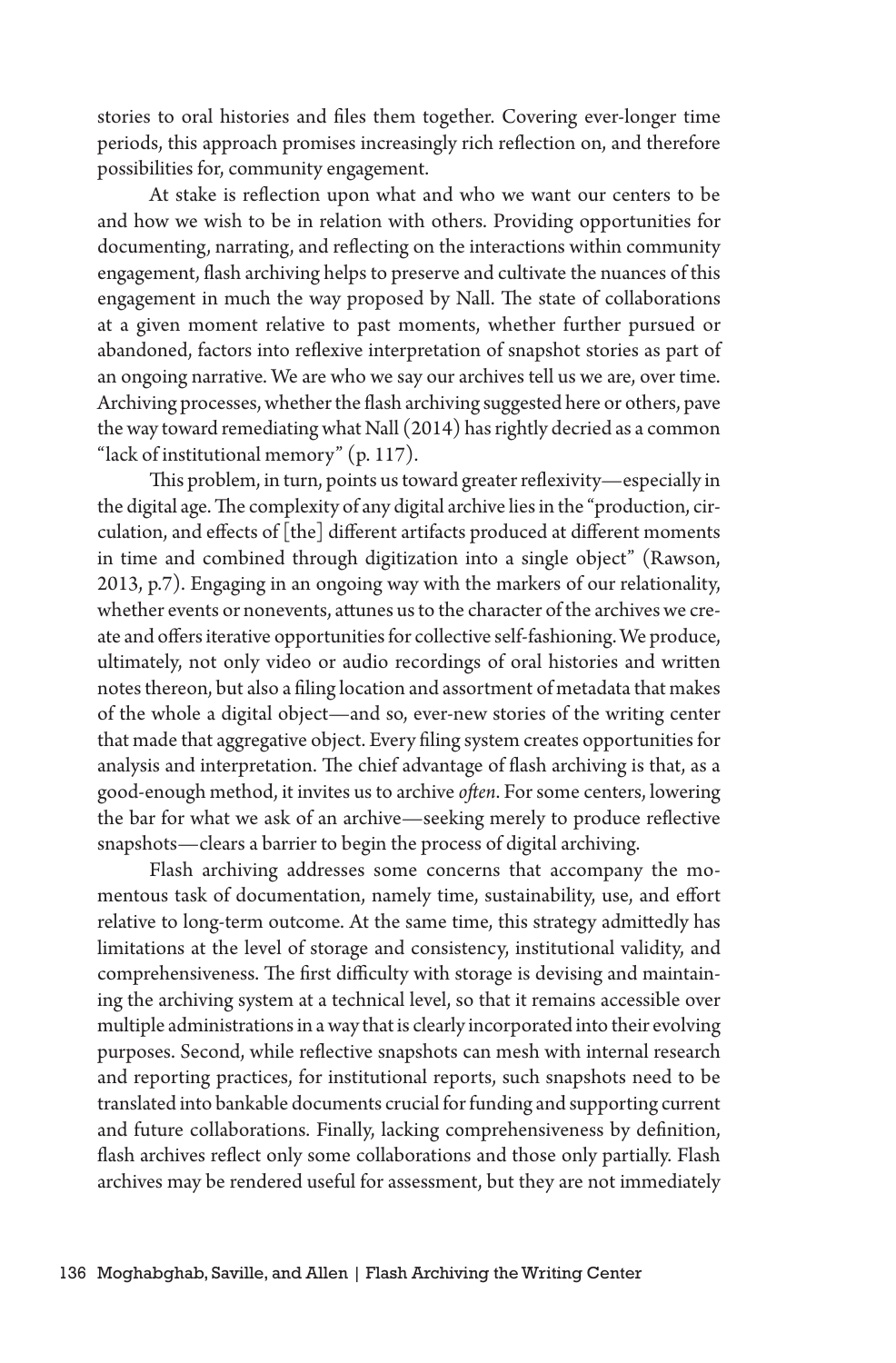stories to oral histories and files them together. Covering ever-longer time periods, this approach promises increasingly rich reflection on, and therefore possibilities for, community engagement.

At stake is reflection upon what and who we want our centers to be and how we wish to be in relation with others. Providing opportunities for documenting, narrating, and reflecting on the interactions within community engagement, flash archiving helps to preserve and cultivate the nuances of this engagement in much the way proposed by Nall. The state of collaborations at a given moment relative to past moments, whether further pursued or abandoned, factors into reflexive interpretation of snapshot stories as part of an ongoing narrative. We are who we say our archives tell us we are, over time. Archiving processes, whether the flash archiving suggested here or others, pave the way toward remediating what Nall (2014) has rightly decried as a common "lack of institutional memory" (p. 117).

This problem, in turn, points us toward greater reflexivity—especially in the digital age. The complexity of any digital archive lies in the "production, circulation, and effects of [the] different artifacts produced at different moments in time and combined through digitization into a single object" (Rawson, 2013, p.7). Engaging in an ongoing way with the markers of our relationality, whether events or nonevents, attunes us to the character of the archives we create and offers iterative opportunities for collective self-fashioning. We produce, ultimately, not only video or audio recordings of oral histories and written notes thereon, but also a filing location and assortment of metadata that makes of the whole a digital object—and so, ever-new stories of the writing center that made that aggregative object. Every filing system creates opportunities for analysis and interpretation. The chief advantage of flash archiving is that, as a good-enough method, it invites us to archive *often*. For some centers, lowering the bar for what we ask of an archive—seeking merely to produce reflective snapshots—clears a barrier to begin the process of digital archiving.

Flash archiving addresses some concerns that accompany the momentous task of documentation, namely time, sustainability, use, and effort relative to long-term outcome. At the same time, this strategy admittedly has limitations at the level of storage and consistency, institutional validity, and comprehensiveness. The first difficulty with storage is devising and maintaining the archiving system at a technical level, so that it remains accessible over multiple administrations in a way that is clearly incorporated into their evolving purposes. Second, while reflective snapshots can mesh with internal research and reporting practices, for institutional reports, such snapshots need to be translated into bankable documents crucial for funding and supporting current and future collaborations. Finally, lacking comprehensiveness by definition, flash archives reflect only some collaborations and those only partially. Flash archives may be rendered useful for assessment, but they are not immediately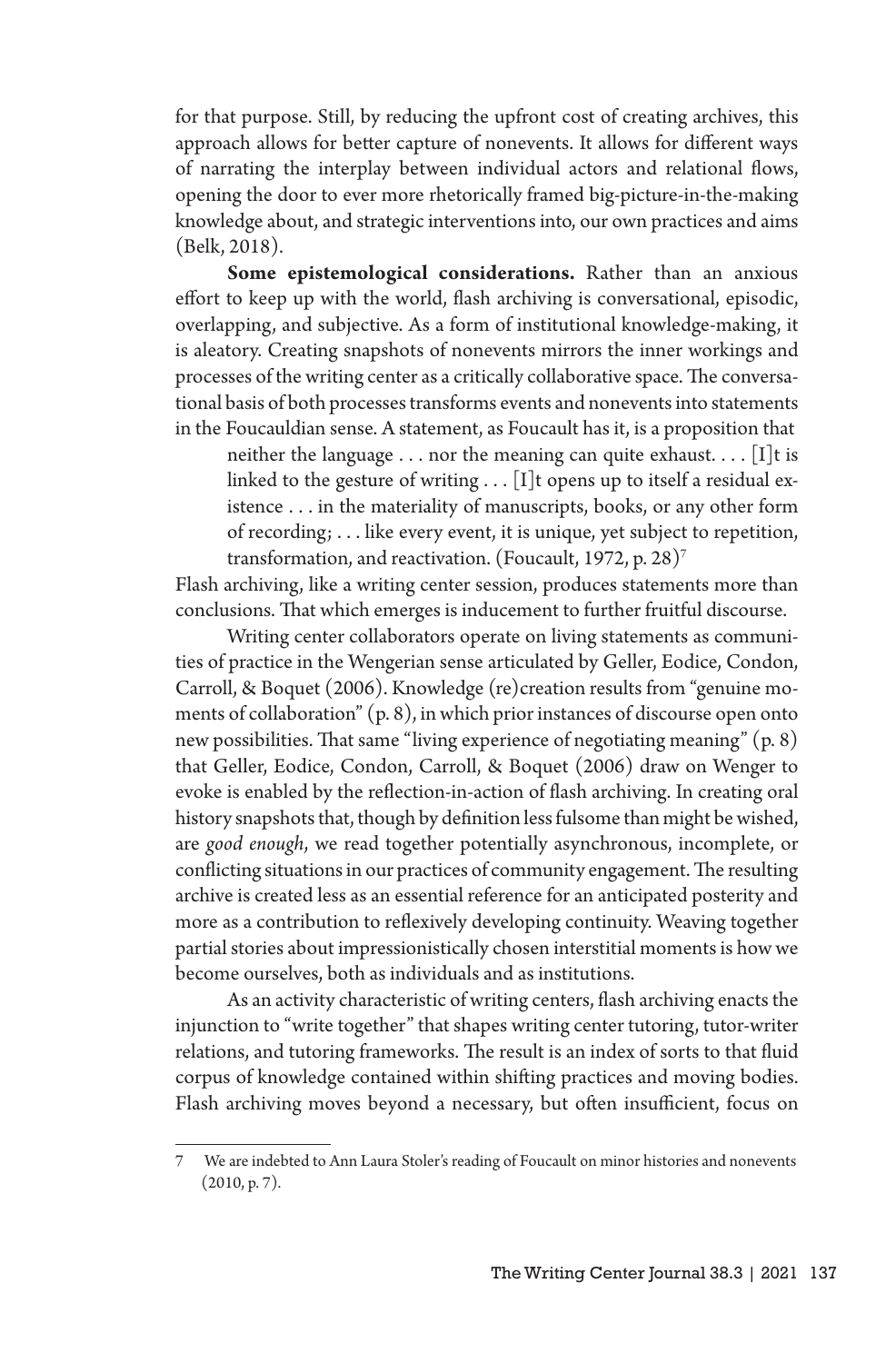for that purpose. Still, by reducing the upfront cost of creating archives, this approach allows for better capture of nonevents. It allows for different ways of narrating the interplay between individual actors and relational flows, opening the door to ever more rhetorically framed big-picture-in-the-making knowledge about, and strategic interventions into, our own practices and aims (Belk, 2018).

**Some epistemological considerations.** Rather than an anxious effort to keep up with the world, flash archiving is conversational, episodic, overlapping, and subjective. As a form of institutional knowledge-making, it is aleatory. Creating snapshots of nonevents mirrors the inner workings and processes of the writing center as a critically collaborative space. The conversational basis of both processes transforms events and nonevents into statements in the Foucauldian sense. A statement, as Foucault has it, is a proposition that

neither the language  $\dots$  nor the meaning can quite exhaust.  $\dots$  [I]t is linked to the gesture of writing  $\dots$  [I]t opens up to itself a residual existence . . . in the materiality of manuscripts, books, or any other form of recording; . . . like every event, it is unique, yet subject to repetition, transformation, and reactivation. (Foucault, 1972, p. 28)7

Flash archiving, like a writing center session, produces statements more than conclusions. That which emerges is inducement to further fruitful discourse.

Writing center collaborators operate on living statements as communities of practice in the Wengerian sense articulated by Geller, Eodice, Condon, Carroll, & Boquet (2006). Knowledge (re)creation results from "genuine moments of collaboration" (p. 8), in which prior instances of discourse open onto new possibilities. That same "living experience of negotiating meaning" (p. 8) that Geller, Eodice, Condon, Carroll, & Boquet (2006) draw on Wenger to evoke is enabled by the reflection-in-action of flash archiving. In creating oral history snapshots that, though by definition less fulsome than might be wished, are *good enough*, we read together potentially asynchronous, incomplete, or conflicting situations in our practices of community engagement. The resulting archive is created less as an essential reference for an anticipated posterity and more as a contribution to reflexively developing continuity. Weaving together partial stories about impressionistically chosen interstitial moments is how we become ourselves, both as individuals and as institutions.

As an activity characteristic of writing centers, flash archiving enacts the injunction to "write together" that shapes writing center tutoring, tutor-writer relations, and tutoring frameworks. The result is an index of sorts to that fluid corpus of knowledge contained within shifting practices and moving bodies. Flash archiving moves beyond a necessary, but often insufficient, focus on

<sup>7</sup> We are indebted to Ann Laura Stoler's reading of Foucault on minor histories and nonevents (2010, p. 7).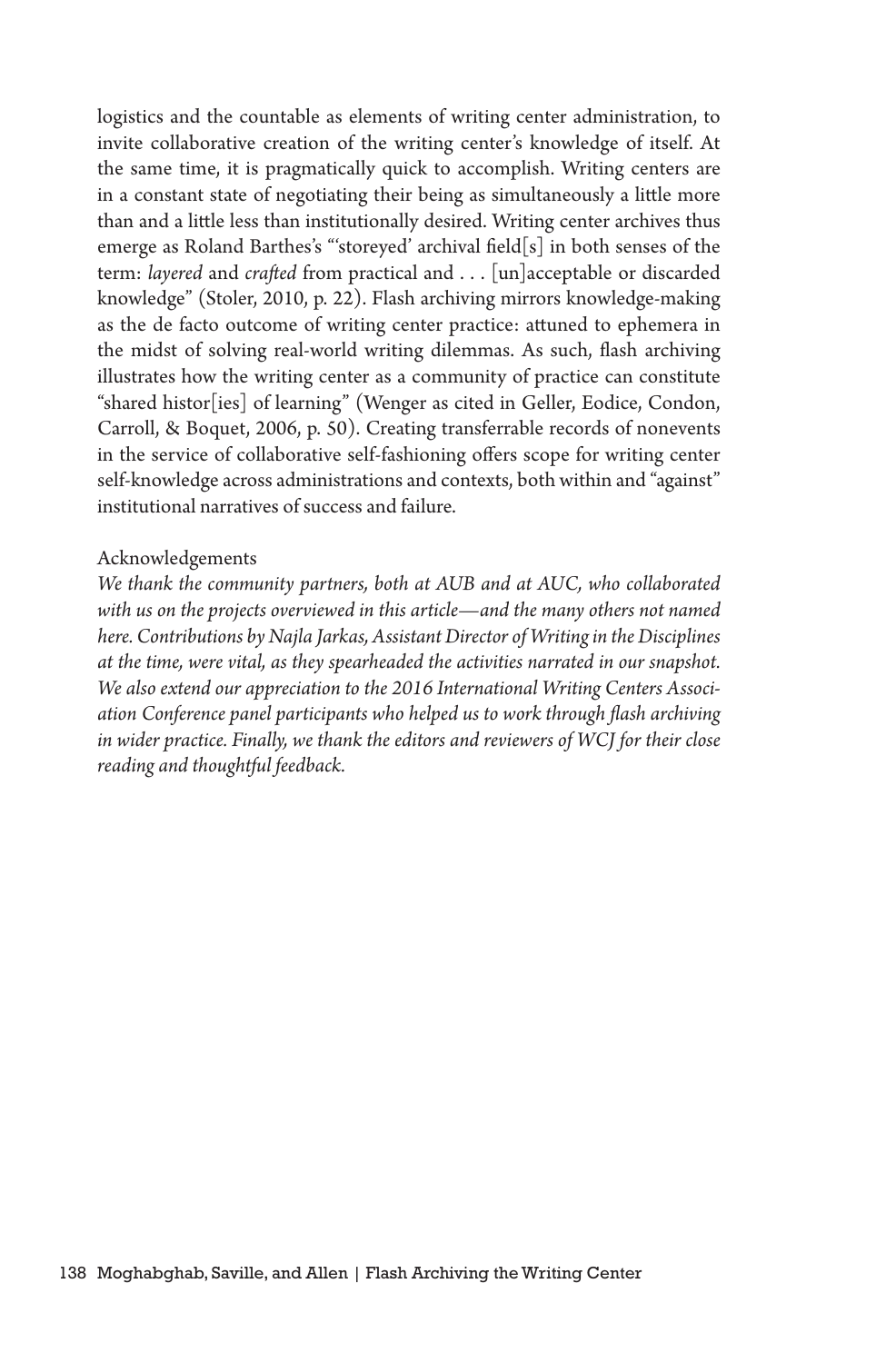logistics and the countable as elements of writing center administration, to invite collaborative creation of the writing center's knowledge of itself. At the same time, it is pragmatically quick to accomplish. Writing centers are in a constant state of negotiating their being as simultaneously a little more than and a little less than institutionally desired. Writing center archives thus emerge as Roland Barthes's "'storeyed' archival field[s] in both senses of the term: *layered* and *crafted* from practical and . . . [un]acceptable or discarded knowledge" (Stoler, 2010, p. 22). Flash archiving mirrors knowledge-making as the de facto outcome of writing center practice: attuned to ephemera in the midst of solving real-world writing dilemmas. As such, flash archiving illustrates how the writing center as a community of practice can constitute "shared histor[ies] of learning" (Wenger as cited in Geller, Eodice, Condon, Carroll, & Boquet, 2006, p. 50). Creating transferrable records of nonevents in the service of collaborative self-fashioning offers scope for writing center self-knowledge across administrations and contexts, both within and "against" institutional narratives of success and failure.

#### Acknowledgements

*We thank the community partners, both at AUB and at AUC, who collaborated with us on the projects overviewed in this article—and the many others not named here. Contributions by Najla Jarkas, Assistant Director of Writing in the Disciplines at the time, were vital, as they spearheaded the activities narrated in our snapshot. We also extend our appreciation to the 2016 International Writing Centers Association Conference panel participants who helped us to work through flash archiving in wider practice. Finally, we thank the editors and reviewers of WCJ for their close reading and thoughtful feedback.*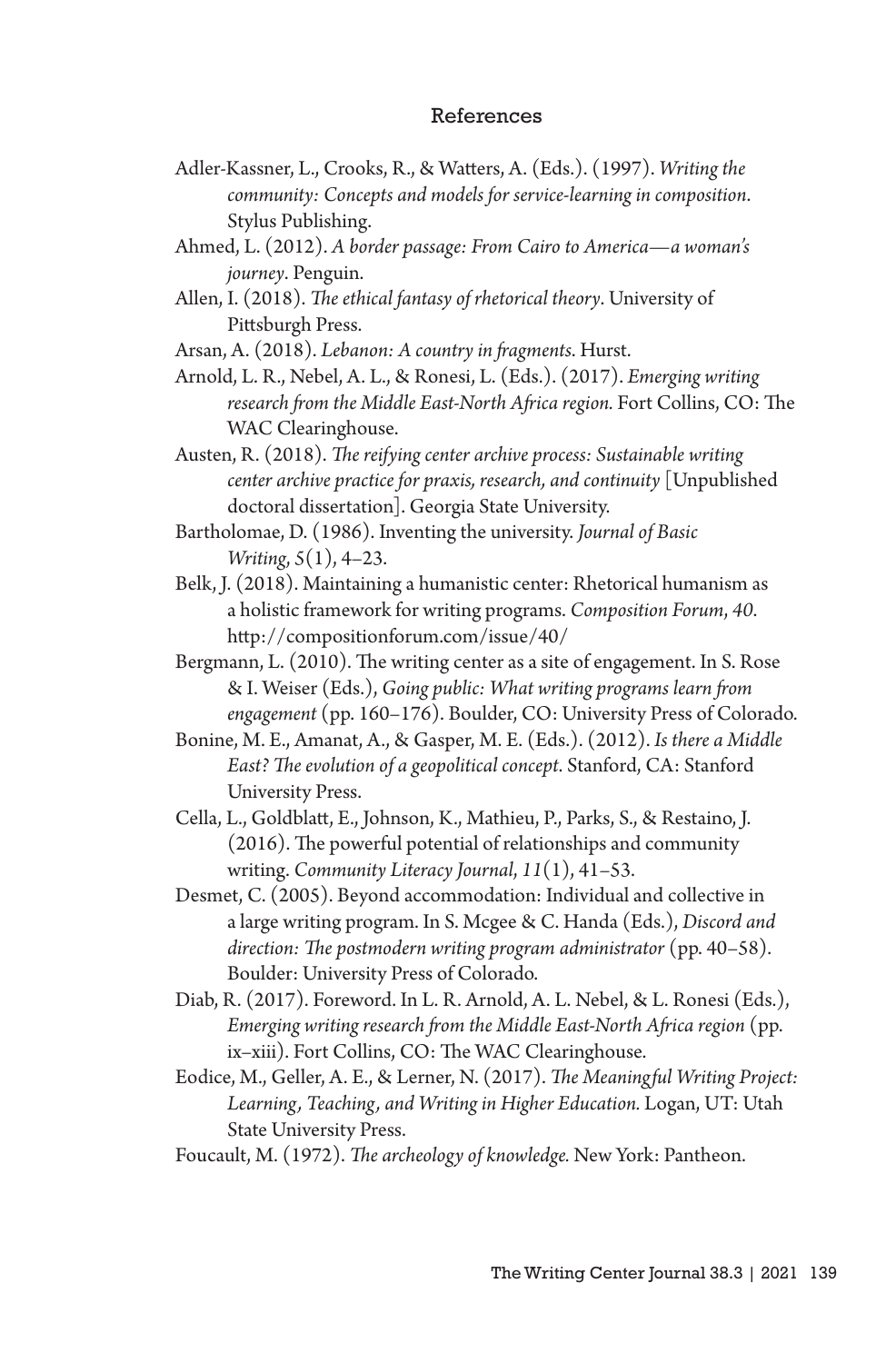#### References

- Adler-Kassner, L., Crooks, R., & Watters, A. (Eds.). (1997). *Writing the community: Concepts and models for service-learning in composition*. Stylus Publishing.
- Ahmed, L. (2012). *A border passage: From Cairo to America—a woman's journey*. Penguin.
- Allen, I. (2018). *The ethical fantasy of rhetorical theory*. University of Pittsburgh Press.

Arsan, A. (2018). *Lebanon: A country in fragments*. Hurst.

- Arnold, L. R., Nebel, A. L., & Ronesi, L. (Eds.). (2017). *Emerging writing research from the Middle East-North Africa region.* Fort Collins, CO: The WAC Clearinghouse.
- Austen, R. (2018). *The reifying center archive process: Sustainable writing center archive practice for praxis, research, and continuity* [Unpublished doctoral dissertation]. Georgia State University.
- Bartholomae, D. (1986). Inventing the university. *Journal of Basic Writing*, *5*(1), 4–23.
- Belk, J. (2018). Maintaining a humanistic center: Rhetorical humanism as a holistic framework for writing programs. *Composition Forum*, *40*. http://compositionforum.com/issue/40/
- Bergmann, L. (2010). The writing center as a site of engagement. In S. Rose & I. Weiser (Eds.), *Going public: What writing programs learn from engagement* (pp. 160–176). Boulder, CO: University Press of Colorado.
- Bonine, M. E., Amanat, A., & Gasper, M. E. (Eds.). (2012). *Is there a Middle East? The evolution of a geopolitical concept*. Stanford, CA: Stanford University Press.
- Cella, L., Goldblatt, E., Johnson, K., Mathieu, P., Parks, S., & Restaino, J. (2016). The powerful potential of relationships and community writing. *Community Literacy Journal*, *11*(1), 41–53.
- Desmet, C. (2005). Beyond accommodation: Individual and collective in a large writing program. In S. Mcgee & C. Handa (Eds.), *Discord and direction: The postmodern writing program administrator* (pp. 40–58). Boulder: University Press of Colorado.
- Diab, R. (2017). Foreword. In L. R. Arnold, A. L. Nebel, & L. Ronesi (Eds.), *Emerging writing research from the Middle East-North Africa region* (pp. ix–xiii). Fort Collins, CO: The WAC Clearinghouse.
- Eodice, M., Geller, A. E., & Lerner, N. (2017). *The Meaningful Writing Project: Learning, Teaching, and Writing in Higher Education.* Logan, UT: Utah State University Press.
- Foucault, M. (1972). *The archeology of knowledge.* New York: Pantheon.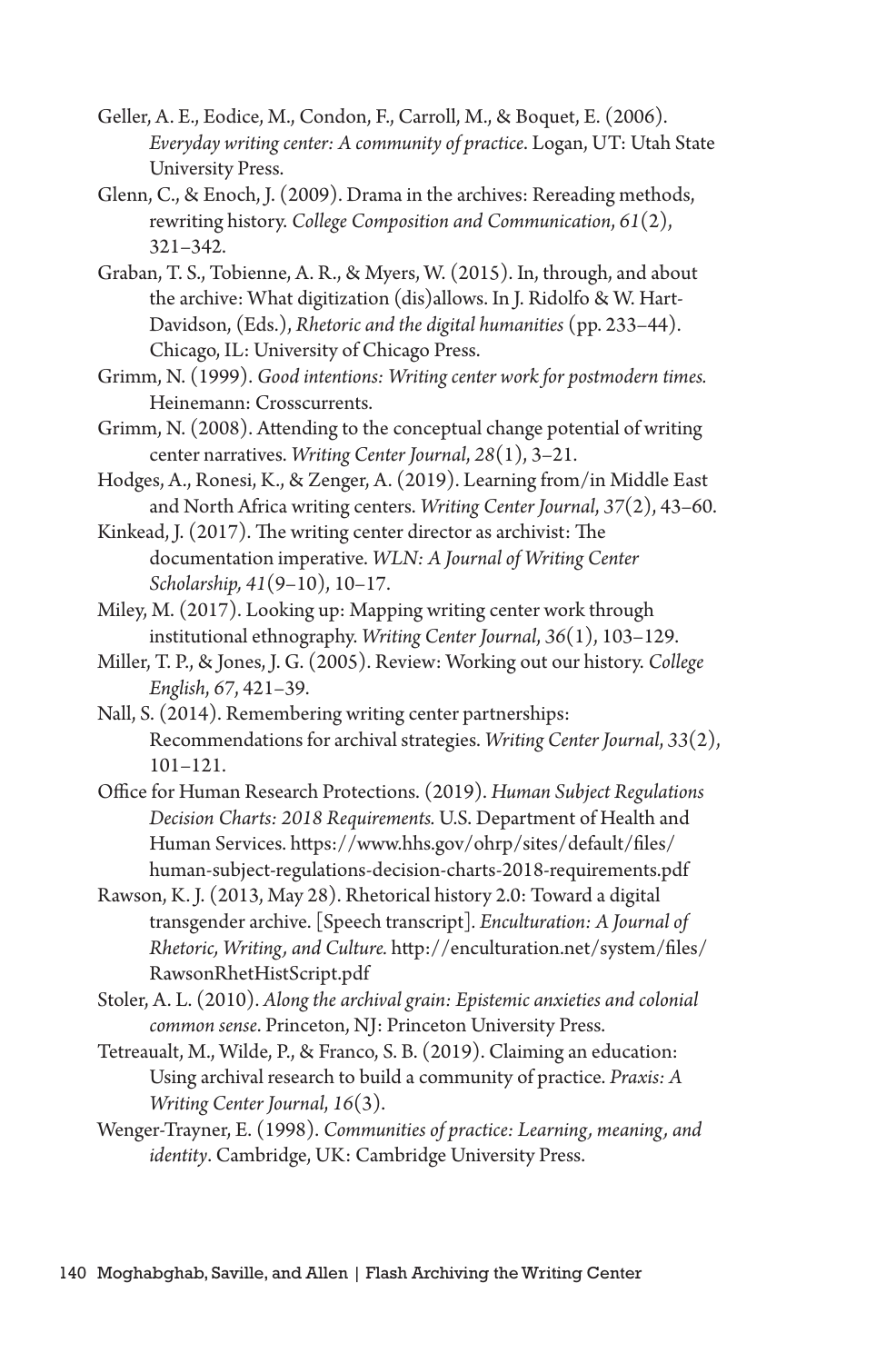- Geller, A. E., Eodice, M., Condon, F., Carroll, M., & Boquet, E. (2006). *Everyday writing center: A community of practice*. Logan, UT: Utah State University Press.
- Glenn, C., & Enoch, J. (2009). Drama in the archives: Rereading methods, rewriting history. *College Composition and Communication*, *61*(2), 321–342.
- Graban, T. S., Tobienne, A. R., & Myers, W. (2015). In, through, and about the archive: What digitization (dis)allows. In J. Ridolfo & W. Hart-Davidson, (Eds.), *Rhetoric and the digital humanities* (pp. 233–44). Chicago, IL: University of Chicago Press.
- Grimm, N. (1999). *Good intentions: Writing center work for postmodern times.*  Heinemann: Crosscurrents.
- Grimm, N. (2008). Attending to the conceptual change potential of writing center narratives. *Writing Center Journal*, *28*(1), 3–21.
- Hodges, A., Ronesi, K., & Zenger, A. (2019). Learning from/in Middle East and North Africa writing centers. *Writing Center Journal*, *37*(2), 43–60.
- Kinkead, J. (2017). The writing center director as archivist: The documentation imperative. *WLN: A Journal of Writing Center Scholarship, 41*(9–10), 10–17.
- Miley, M. (2017). Looking up: Mapping writing center work through institutional ethnography. *Writing Center Journal*, *36*(1), 103–129.
- Miller, T. P., & Jones, J. G. (2005). Review: Working out our history. *College English*, *67*, 421–39.
- Nall, S. (2014). Remembering writing center partnerships: Recommendations for archival strategies. *Writing Center Journal*, *33*(2), 101–121.
- Office for Human Research Protections. (2019). *Human Subject Regulations Decision Charts: 2018 Requirements.* U.S. Department of Health and Human Services. https://www.hhs.gov/ohrp/sites/default/files/ human-subject-regulations-decision-charts-2018-requirements.pdf
- Rawson, K. J. (2013, May 28). Rhetorical history 2.0: Toward a digital transgender archive. [Speech transcript]*. Enculturation: A Journal of Rhetoric, Writing, and Culture.* http://enculturation.net/system/files/ RawsonRhetHistScript.pdf
- Stoler, A. L. (2010). *Along the archival grain: Epistemic anxieties and colonial common sense*. Princeton, NJ: Princeton University Press.
- Tetreaualt, M., Wilde, P., & Franco, S. B. (2019). Claiming an education: Using archival research to build a community of practice. *Praxis: A Writing Center Journal*, *16*(3).
- Wenger-Trayner, E. (1998). *Communities of practice: Learning, meaning, and identity*. Cambridge, UK: Cambridge University Press.